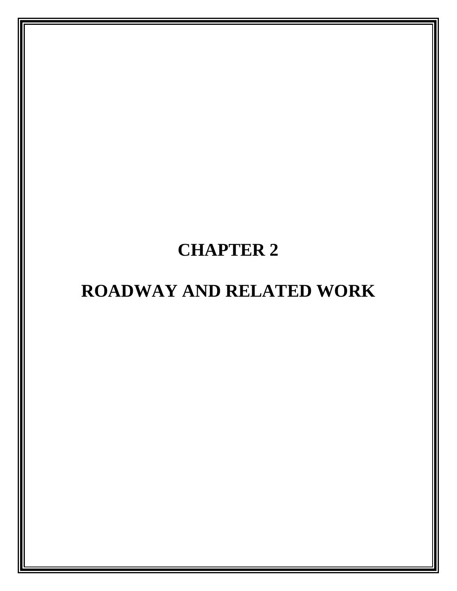# **CHAPTER 2**

# **ROADWAY AND RELATED WORK**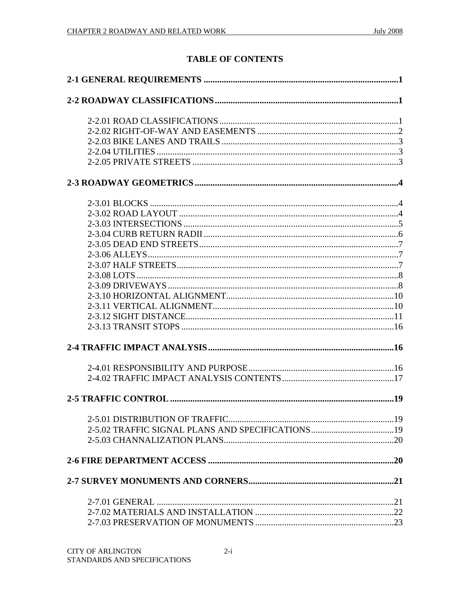# **TABLE OF CONTENTS**

| 2-5.02 TRAFFIC SIGNAL PLANS AND SPECIFICATIONS19 |  |
|--------------------------------------------------|--|
|                                                  |  |
|                                                  |  |
|                                                  |  |
|                                                  |  |
|                                                  |  |
|                                                  |  |
|                                                  |  |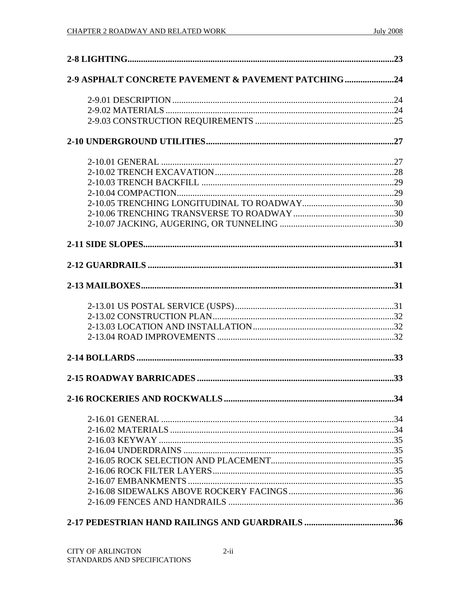| 2-9 ASPHALT CONCRETE PAVEMENT & PAVEMENT PATCHING24 |  |
|-----------------------------------------------------|--|
|                                                     |  |
|                                                     |  |
|                                                     |  |
|                                                     |  |
|                                                     |  |
|                                                     |  |
|                                                     |  |
|                                                     |  |
|                                                     |  |
|                                                     |  |
|                                                     |  |
|                                                     |  |
|                                                     |  |
|                                                     |  |
|                                                     |  |
|                                                     |  |
|                                                     |  |
|                                                     |  |
|                                                     |  |
|                                                     |  |
|                                                     |  |
|                                                     |  |
|                                                     |  |
|                                                     |  |
|                                                     |  |
|                                                     |  |
|                                                     |  |
|                                                     |  |
|                                                     |  |
|                                                     |  |
|                                                     |  |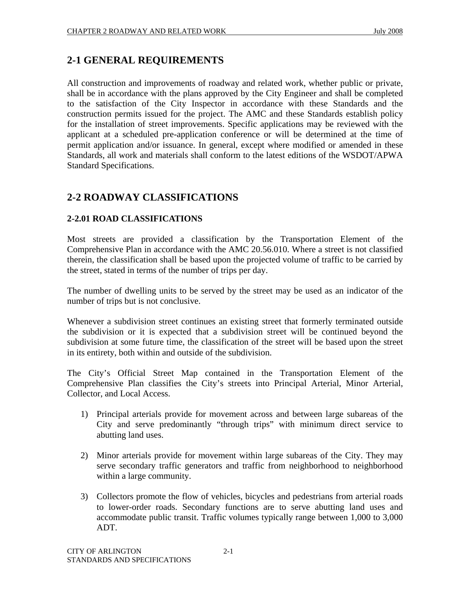# **2-1 GENERAL REQUIREMENTS**

All construction and improvements of roadway and related work, whether public or private, shall be in accordance with the plans approved by the City Engineer and shall be completed to the satisfaction of the City Inspector in accordance with these Standards and the construction permits issued for the project. The AMC and these Standards establish policy for the installation of street improvements. Specific applications may be reviewed with the applicant at a scheduled pre-application conference or will be determined at the time of permit application and/or issuance. In general, except where modified or amended in these Standards, all work and materials shall conform to the latest editions of the WSDOT/APWA Standard Specifications.

# **2-2 ROADWAY CLASSIFICATIONS**

# **2-2.01 ROAD CLASSIFICATIONS**

Most streets are provided a classification by the Transportation Element of the Comprehensive Plan in accordance with the AMC 20.56.010. Where a street is not classified therein, the classification shall be based upon the projected volume of traffic to be carried by the street, stated in terms of the number of trips per day.

The number of dwelling units to be served by the street may be used as an indicator of the number of trips but is not conclusive.

Whenever a subdivision street continues an existing street that formerly terminated outside the subdivision or it is expected that a subdivision street will be continued beyond the subdivision at some future time, the classification of the street will be based upon the street in its entirety, both within and outside of the subdivision.

The City's Official Street Map contained in the Transportation Element of the Comprehensive Plan classifies the City's streets into Principal Arterial, Minor Arterial, Collector, and Local Access.

- 1) Principal arterials provide for movement across and between large subareas of the City and serve predominantly "through trips" with minimum direct service to abutting land uses.
- 2) Minor arterials provide for movement within large subareas of the City. They may serve secondary traffic generators and traffic from neighborhood to neighborhood within a large community.
- 3) Collectors promote the flow of vehicles, bicycles and pedestrians from arterial roads to lower-order roads. Secondary functions are to serve abutting land uses and accommodate public transit. Traffic volumes typically range between 1,000 to 3,000 ADT.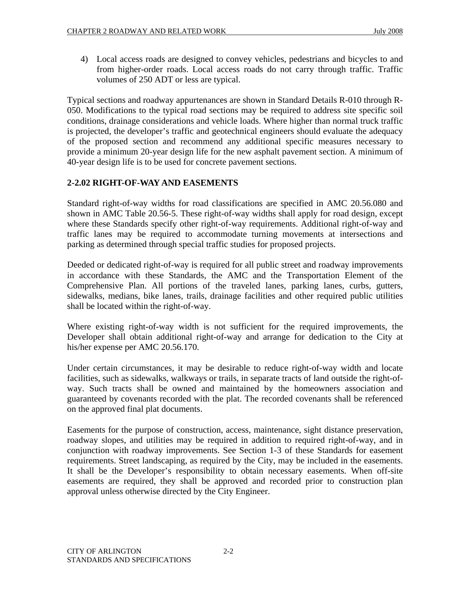4) Local access roads are designed to convey vehicles, pedestrians and bicycles to and from higher-order roads. Local access roads do not carry through traffic. Traffic volumes of 250 ADT or less are typical.

Typical sections and roadway appurtenances are shown in Standard Details R-010 through R-050. Modifications to the typical road sections may be required to address site specific soil conditions, drainage considerations and vehicle loads. Where higher than normal truck traffic is projected, the developer's traffic and geotechnical engineers should evaluate the adequacy of the proposed section and recommend any additional specific measures necessary to provide a minimum 20-year design life for the new asphalt pavement section. A minimum of 40-year design life is to be used for concrete pavement sections.

# **2-2.02 RIGHT-OF-WAY AND EASEMENTS**

Standard right-of-way widths for road classifications are specified in AMC 20.56.080 and shown in AMC Table 20.56-5. These right-of-way widths shall apply for road design, except where these Standards specify other right-of-way requirements. Additional right-of-way and traffic lanes may be required to accommodate turning movements at intersections and parking as determined through special traffic studies for proposed projects.

Deeded or dedicated right-of-way is required for all public street and roadway improvements in accordance with these Standards, the AMC and the Transportation Element of the Comprehensive Plan. All portions of the traveled lanes, parking lanes, curbs, gutters, sidewalks, medians, bike lanes, trails, drainage facilities and other required public utilities shall be located within the right-of-way.

Where existing right-of-way width is not sufficient for the required improvements, the Developer shall obtain additional right-of-way and arrange for dedication to the City at his/her expense per AMC 20.56.170.

Under certain circumstances, it may be desirable to reduce right-of-way width and locate facilities, such as sidewalks, walkways or trails, in separate tracts of land outside the right-ofway. Such tracts shall be owned and maintained by the homeowners association and guaranteed by covenants recorded with the plat. The recorded covenants shall be referenced on the approved final plat documents.

Easements for the purpose of construction, access, maintenance, sight distance preservation, roadway slopes, and utilities may be required in addition to required right-of-way, and in conjunction with roadway improvements. See Section 1-3 of these Standards for easement requirements. Street landscaping, as required by the City, may be included in the easements. It shall be the Developer's responsibility to obtain necessary easements. When off-site easements are required, they shall be approved and recorded prior to construction plan approval unless otherwise directed by the City Engineer.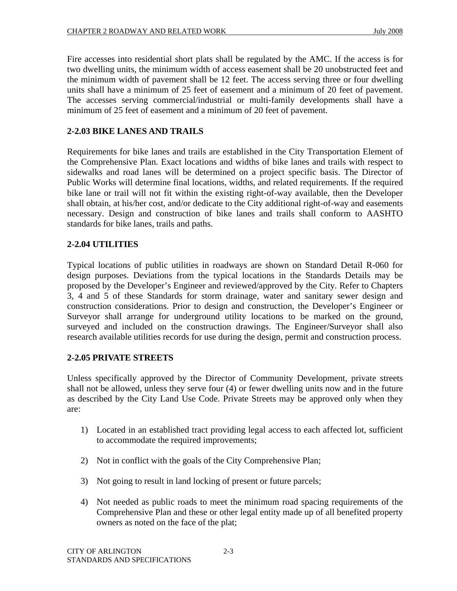Fire accesses into residential short plats shall be regulated by the AMC. If the access is for two dwelling units, the minimum width of access easement shall be 20 unobstructed feet and the minimum width of pavement shall be 12 feet. The access serving three or four dwelling units shall have a minimum of 25 feet of easement and a minimum of 20 feet of pavement. The accesses serving commercial/industrial or multi-family developments shall have a minimum of 25 feet of easement and a minimum of 20 feet of pavement.

# **2-2.03 BIKE LANES AND TRAILS**

Requirements for bike lanes and trails are established in the City Transportation Element of the Comprehensive Plan. Exact locations and widths of bike lanes and trails with respect to sidewalks and road lanes will be determined on a project specific basis. The Director of Public Works will determine final locations, widths, and related requirements. If the required bike lane or trail will not fit within the existing right-of-way available, then the Developer shall obtain, at his/her cost, and/or dedicate to the City additional right-of-way and easements necessary. Design and construction of bike lanes and trails shall conform to AASHTO standards for bike lanes, trails and paths.

# **2-2.04 UTILITIES**

Typical locations of public utilities in roadways are shown on Standard Detail R-060 for design purposes. Deviations from the typical locations in the Standards Details may be proposed by the Developer's Engineer and reviewed/approved by the City. Refer to Chapters 3, 4 and 5 of these Standards for storm drainage, water and sanitary sewer design and construction considerations. Prior to design and construction, the Developer's Engineer or Surveyor shall arrange for underground utility locations to be marked on the ground, surveyed and included on the construction drawings. The Engineer/Surveyor shall also research available utilities records for use during the design, permit and construction process.

# **2-2.05 PRIVATE STREETS**

Unless specifically approved by the Director of Community Development, private streets shall not be allowed, unless they serve four (4) or fewer dwelling units now and in the future as described by the City Land Use Code. Private Streets may be approved only when they are:

- 1) Located in an established tract providing legal access to each affected lot, sufficient to accommodate the required improvements;
- 2) Not in conflict with the goals of the City Comprehensive Plan;
- 3) Not going to result in land locking of present or future parcels;
- 4) Not needed as public roads to meet the minimum road spacing requirements of the Comprehensive Plan and these or other legal entity made up of all benefited property owners as noted on the face of the plat;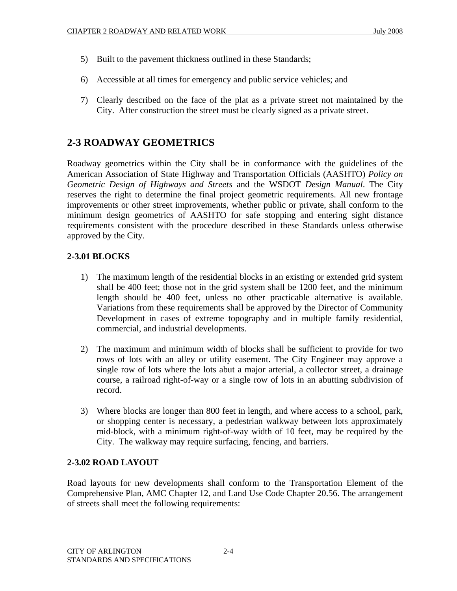- 5) Built to the pavement thickness outlined in these Standards;
- 6) Accessible at all times for emergency and public service vehicles; and
- 7) Clearly described on the face of the plat as a private street not maintained by the City. After construction the street must be clearly signed as a private street.

# **2-3 ROADWAY GEOMETRICS**

Roadway geometrics within the City shall be in conformance with the guidelines of the American Association of State Highway and Transportation Officials (AASHTO) *Policy on Geometric Design of Highways and Streets* and the WSDOT *Design Manual*. The City reserves the right to determine the final project geometric requirements. All new frontage improvements or other street improvements, whether public or private, shall conform to the minimum design geometrics of AASHTO for safe stopping and entering sight distance requirements consistent with the procedure described in these Standards unless otherwise approved by the City.

# **2-3.01 BLOCKS**

- 1) The maximum length of the residential blocks in an existing or extended grid system shall be 400 feet; those not in the grid system shall be 1200 feet, and the minimum length should be 400 feet, unless no other practicable alternative is available. Variations from these requirements shall be approved by the Director of Community Development in cases of extreme topography and in multiple family residential, commercial, and industrial developments.
- 2) The maximum and minimum width of blocks shall be sufficient to provide for two rows of lots with an alley or utility easement. The City Engineer may approve a single row of lots where the lots abut a major arterial, a collector street, a drainage course, a railroad right-of-way or a single row of lots in an abutting subdivision of record.
- 3) Where blocks are longer than 800 feet in length, and where access to a school, park, or shopping center is necessary, a pedestrian walkway between lots approximately mid-block, with a minimum right-of-way width of 10 feet, may be required by the City. The walkway may require surfacing, fencing, and barriers.

# **2-3.02 ROAD LAYOUT**

Road layouts for new developments shall conform to the Transportation Element of the Comprehensive Plan, AMC Chapter 12, and Land Use Code Chapter 20.56. The arrangement of streets shall meet the following requirements: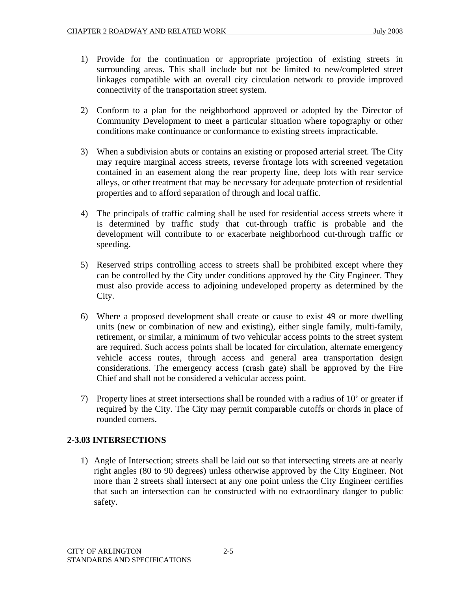- 1) Provide for the continuation or appropriate projection of existing streets in surrounding areas. This shall include but not be limited to new/completed street linkages compatible with an overall city circulation network to provide improved connectivity of the transportation street system.
- 2) Conform to a plan for the neighborhood approved or adopted by the Director of Community Development to meet a particular situation where topography or other conditions make continuance or conformance to existing streets impracticable.
- 3) When a subdivision abuts or contains an existing or proposed arterial street. The City may require marginal access streets, reverse frontage lots with screened vegetation contained in an easement along the rear property line, deep lots with rear service alleys, or other treatment that may be necessary for adequate protection of residential properties and to afford separation of through and local traffic.
- 4) The principals of traffic calming shall be used for residential access streets where it is determined by traffic study that cut-through traffic is probable and the development will contribute to or exacerbate neighborhood cut-through traffic or speeding.
- 5) Reserved strips controlling access to streets shall be prohibited except where they can be controlled by the City under conditions approved by the City Engineer. They must also provide access to adjoining undeveloped property as determined by the City.
- 6) Where a proposed development shall create or cause to exist 49 or more dwelling units (new or combination of new and existing), either single family, multi-family, retirement, or similar, a minimum of two vehicular access points to the street system are required. Such access points shall be located for circulation, alternate emergency vehicle access routes, through access and general area transportation design considerations. The emergency access (crash gate) shall be approved by the Fire Chief and shall not be considered a vehicular access point.
- 7) Property lines at street intersections shall be rounded with a radius of 10' or greater if required by the City. The City may permit comparable cutoffs or chords in place of rounded corners.

# **2-3.03 INTERSECTIONS**

1) Angle of Intersection; streets shall be laid out so that intersecting streets are at nearly right angles (80 to 90 degrees) unless otherwise approved by the City Engineer. Not more than 2 streets shall intersect at any one point unless the City Engineer certifies that such an intersection can be constructed with no extraordinary danger to public safety.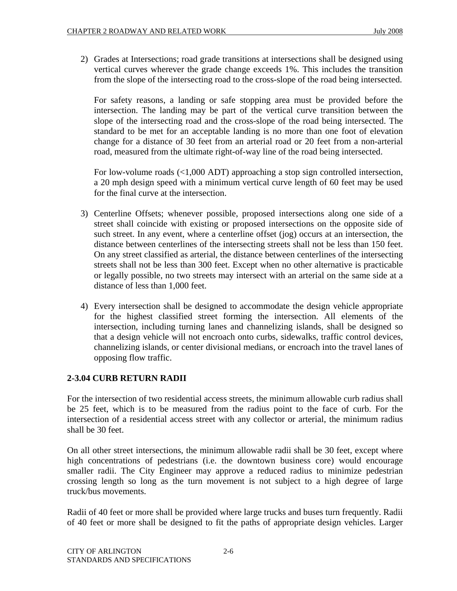2) Grades at Intersections; road grade transitions at intersections shall be designed using vertical curves wherever the grade change exceeds 1%. This includes the transition from the slope of the intersecting road to the cross-slope of the road being intersected.

For safety reasons, a landing or safe stopping area must be provided before the intersection. The landing may be part of the vertical curve transition between the slope of the intersecting road and the cross-slope of the road being intersected. The standard to be met for an acceptable landing is no more than one foot of elevation change for a distance of 30 feet from an arterial road or 20 feet from a non-arterial road, measured from the ultimate right-of-way line of the road being intersected.

For low-volume roads (<1,000 ADT) approaching a stop sign controlled intersection, a 20 mph design speed with a minimum vertical curve length of 60 feet may be used for the final curve at the intersection.

- 3) Centerline Offsets; whenever possible, proposed intersections along one side of a street shall coincide with existing or proposed intersections on the opposite side of such street. In any event, where a centerline offset (jog) occurs at an intersection, the distance between centerlines of the intersecting streets shall not be less than 150 feet. On any street classified as arterial, the distance between centerlines of the intersecting streets shall not be less than 300 feet. Except when no other alternative is practicable or legally possible, no two streets may intersect with an arterial on the same side at a distance of less than 1,000 feet.
- 4) Every intersection shall be designed to accommodate the design vehicle appropriate for the highest classified street forming the intersection. All elements of the intersection, including turning lanes and channelizing islands, shall be designed so that a design vehicle will not encroach onto curbs, sidewalks, traffic control devices, channelizing islands, or center divisional medians, or encroach into the travel lanes of opposing flow traffic.

# **2-3.04 CURB RETURN RADII**

For the intersection of two residential access streets, the minimum allowable curb radius shall be 25 feet, which is to be measured from the radius point to the face of curb. For the intersection of a residential access street with any collector or arterial, the minimum radius shall be 30 feet.

On all other street intersections, the minimum allowable radii shall be 30 feet, except where high concentrations of pedestrians (i.e. the downtown business core) would encourage smaller radii. The City Engineer may approve a reduced radius to minimize pedestrian crossing length so long as the turn movement is not subject to a high degree of large truck/bus movements.

Radii of 40 feet or more shall be provided where large trucks and buses turn frequently. Radii of 40 feet or more shall be designed to fit the paths of appropriate design vehicles. Larger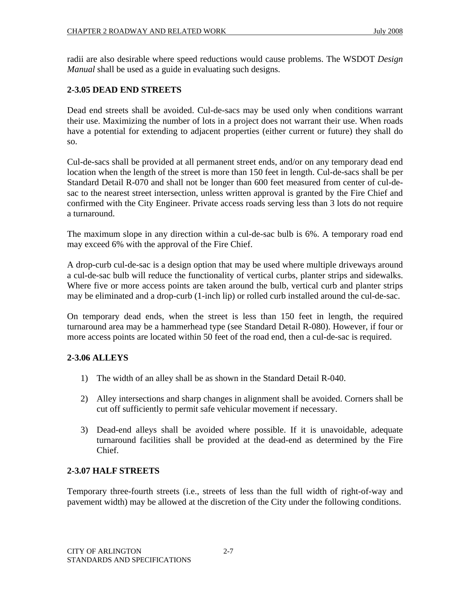radii are also desirable where speed reductions would cause problems. The WSDOT *Design Manual* shall be used as a guide in evaluating such designs.

#### **2-3.05 DEAD END STREETS**

Dead end streets shall be avoided. Cul-de-sacs may be used only when conditions warrant their use. Maximizing the number of lots in a project does not warrant their use. When roads have a potential for extending to adjacent properties (either current or future) they shall do so.

Cul-de-sacs shall be provided at all permanent street ends, and/or on any temporary dead end location when the length of the street is more than 150 feet in length. Cul-de-sacs shall be per Standard Detail R-070 and shall not be longer than 600 feet measured from center of cul-desac to the nearest street intersection, unless written approval is granted by the Fire Chief and confirmed with the City Engineer. Private access roads serving less than 3 lots do not require a turnaround.

The maximum slope in any direction within a cul-de-sac bulb is 6%. A temporary road end may exceed 6% with the approval of the Fire Chief.

A drop-curb cul-de-sac is a design option that may be used where multiple driveways around a cul-de-sac bulb will reduce the functionality of vertical curbs, planter strips and sidewalks. Where five or more access points are taken around the bulb, vertical curb and planter strips may be eliminated and a drop-curb (1-inch lip) or rolled curb installed around the cul-de-sac.

On temporary dead ends, when the street is less than 150 feet in length, the required turnaround area may be a hammerhead type (see Standard Detail R-080). However, if four or more access points are located within 50 feet of the road end, then a cul-de-sac is required.

# **2-3.06 ALLEYS**

- 1) The width of an alley shall be as shown in the Standard Detail R-040.
- 2) Alley intersections and sharp changes in alignment shall be avoided. Corners shall be cut off sufficiently to permit safe vehicular movement if necessary.
- 3) Dead-end alleys shall be avoided where possible. If it is unavoidable, adequate turnaround facilities shall be provided at the dead-end as determined by the Fire Chief.

#### **2-3.07 HALF STREETS**

Temporary three-fourth streets (i.e., streets of less than the full width of right-of-way and pavement width) may be allowed at the discretion of the City under the following conditions.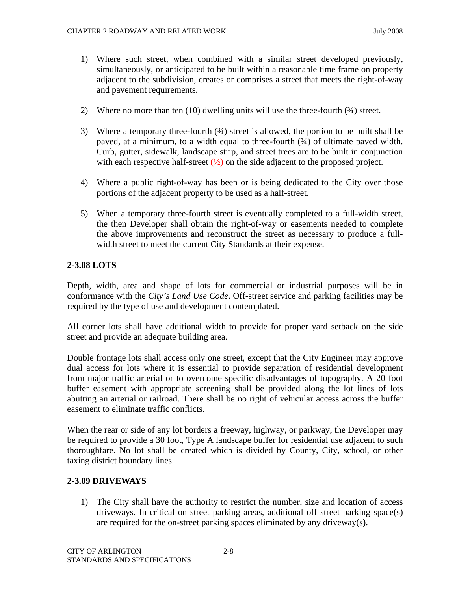- 1) Where such street, when combined with a similar street developed previously, simultaneously, or anticipated to be built within a reasonable time frame on property adjacent to the subdivision, creates or comprises a street that meets the right-of-way and pavement requirements.
- 2) Where no more than ten (10) dwelling units will use the three-fourth ( $\frac{3}{4}$ ) street.
- 3) Where a temporary three-fourth (34) street is allowed, the portion to be built shall be paved, at a minimum, to a width equal to three-fourth (¾) of ultimate paved width. Curb, gutter, sidewalk, landscape strip, and street trees are to be built in conjunction with each respective half-street  $(\frac{1}{2})$  on the side adjacent to the proposed project.
- 4) Where a public right-of-way has been or is being dedicated to the City over those portions of the adjacent property to be used as a half-street.
- 5) When a temporary three-fourth street is eventually completed to a full-width street, the then Developer shall obtain the right-of-way or easements needed to complete the above improvements and reconstruct the street as necessary to produce a fullwidth street to meet the current City Standards at their expense.

# **2-3.08 LOTS**

Depth, width, area and shape of lots for commercial or industrial purposes will be in conformance with the *City's Land Use Code*. Off-street service and parking facilities may be required by the type of use and development contemplated.

All corner lots shall have additional width to provide for proper yard setback on the side street and provide an adequate building area.

Double frontage lots shall access only one street, except that the City Engineer may approve dual access for lots where it is essential to provide separation of residential development from major traffic arterial or to overcome specific disadvantages of topography. A 20 foot buffer easement with appropriate screening shall be provided along the lot lines of lots abutting an arterial or railroad. There shall be no right of vehicular access across the buffer easement to eliminate traffic conflicts.

When the rear or side of any lot borders a freeway, highway, or parkway, the Developer may be required to provide a 30 foot, Type A landscape buffer for residential use adjacent to such thoroughfare. No lot shall be created which is divided by County, City, school, or other taxing district boundary lines.

#### **2-3.09 DRIVEWAYS**

1) The City shall have the authority to restrict the number, size and location of access driveways. In critical on street parking areas, additional off street parking space(s) are required for the on-street parking spaces eliminated by any driveway(s).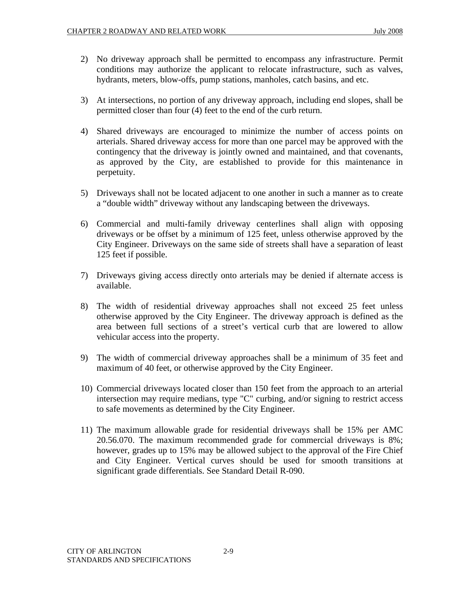- 2) No driveway approach shall be permitted to encompass any infrastructure. Permit conditions may authorize the applicant to relocate infrastructure, such as valves, hydrants, meters, blow-offs, pump stations, manholes, catch basins, and etc.
- 3) At intersections, no portion of any driveway approach, including end slopes, shall be permitted closer than four (4) feet to the end of the curb return.
- 4) Shared driveways are encouraged to minimize the number of access points on arterials. Shared driveway access for more than one parcel may be approved with the contingency that the driveway is jointly owned and maintained, and that covenants, as approved by the City, are established to provide for this maintenance in perpetuity.
- 5) Driveways shall not be located adjacent to one another in such a manner as to create a "double width" driveway without any landscaping between the driveways.
- 6) Commercial and multi-family driveway centerlines shall align with opposing driveways or be offset by a minimum of 125 feet, unless otherwise approved by the City Engineer. Driveways on the same side of streets shall have a separation of least 125 feet if possible.
- 7) Driveways giving access directly onto arterials may be denied if alternate access is available.
- 8) The width of residential driveway approaches shall not exceed 25 feet unless otherwise approved by the City Engineer. The driveway approach is defined as the area between full sections of a street's vertical curb that are lowered to allow vehicular access into the property.
- 9) The width of commercial driveway approaches shall be a minimum of 35 feet and maximum of 40 feet, or otherwise approved by the City Engineer.
- 10) Commercial driveways located closer than 150 feet from the approach to an arterial intersection may require medians, type "C" curbing, and/or signing to restrict access to safe movements as determined by the City Engineer.
- 11) The maximum allowable grade for residential driveways shall be 15% per AMC 20.56.070. The maximum recommended grade for commercial driveways is 8%; however, grades up to 15% may be allowed subject to the approval of the Fire Chief and City Engineer. Vertical curves should be used for smooth transitions at significant grade differentials. See Standard Detail R-090.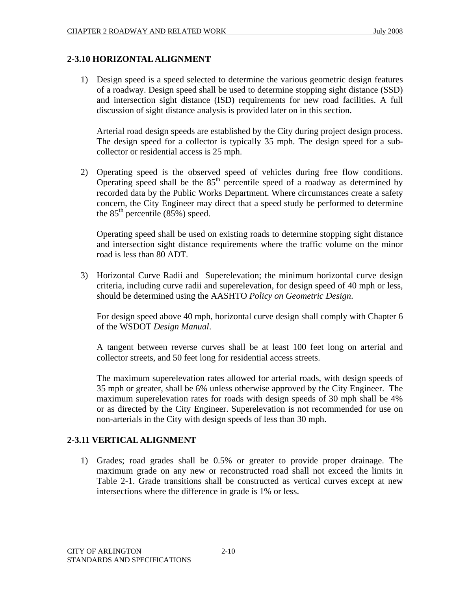#### **2-3.10 HORIZONTAL ALIGNMENT**

1) Design speed is a speed selected to determine the various geometric design features of a roadway. Design speed shall be used to determine stopping sight distance (SSD) and intersection sight distance (ISD) requirements for new road facilities. A full discussion of sight distance analysis is provided later on in this section.

Arterial road design speeds are established by the City during project design process. The design speed for a collector is typically 35 mph. The design speed for a subcollector or residential access is 25 mph.

2) Operating speed is the observed speed of vehicles during free flow conditions. Operating speed shall be the  $85<sup>th</sup>$  percentile speed of a roadway as determined by recorded data by the Public Works Department. Where circumstances create a safety concern, the City Engineer may direct that a speed study be performed to determine the  $85<sup>th</sup>$  percentile  $(85%)$  speed.

Operating speed shall be used on existing roads to determine stopping sight distance and intersection sight distance requirements where the traffic volume on the minor road is less than 80 ADT.

3) Horizontal Curve Radii and Superelevation; the minimum horizontal curve design criteria, including curve radii and superelevation, for design speed of 40 mph or less, should be determined using the AASHTO *Policy on Geometric Design*.

For design speed above 40 mph, horizontal curve design shall comply with Chapter 6 of the WSDOT *Design Manual*.

A tangent between reverse curves shall be at least 100 feet long on arterial and collector streets, and 50 feet long for residential access streets.

The maximum superelevation rates allowed for arterial roads, with design speeds of 35 mph or greater, shall be 6% unless otherwise approved by the City Engineer. The maximum superelevation rates for roads with design speeds of 30 mph shall be 4% or as directed by the City Engineer. Superelevation is not recommended for use on non-arterials in the City with design speeds of less than 30 mph.

#### **2-3.11 VERTICAL ALIGNMENT**

1) Grades; road grades shall be 0.5% or greater to provide proper drainage. The maximum grade on any new or reconstructed road shall not exceed the limits in Table 2-1. Grade transitions shall be constructed as vertical curves except at new intersections where the difference in grade is 1% or less.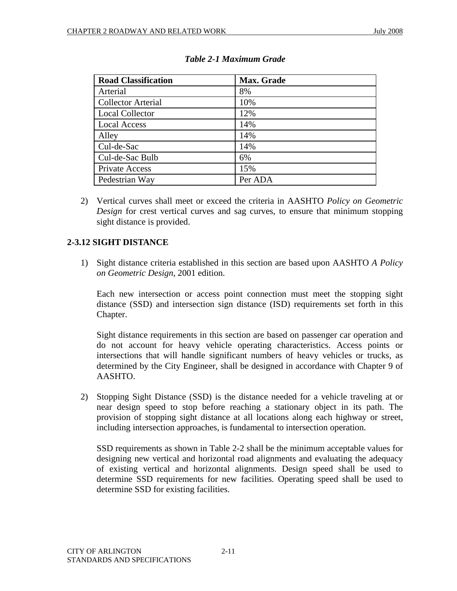| <b>Road Classification</b> | Max. Grade |
|----------------------------|------------|
| Arterial                   | 8%         |
| <b>Collector Arterial</b>  | 10%        |
| <b>Local Collector</b>     | 12%        |
| <b>Local Access</b>        | 14%        |
| Alley                      | 14%        |
| Cul-de-Sac                 | 14%        |
| Cul-de-Sac Bulb            | 6%         |
| Private Access             | 15%        |
| Pedestrian Way             | Per ADA    |

2) Vertical curves shall meet or exceed the criteria in AASHTO *Policy on Geometric Design* for crest vertical curves and sag curves, to ensure that minimum stopping sight distance is provided.

# **2-3.12 SIGHT DISTANCE**

1) Sight distance criteria established in this section are based upon AASHTO *A Policy on Geometric Design*, 2001 edition.

Each new intersection or access point connection must meet the stopping sight distance (SSD) and intersection sign distance (ISD) requirements set forth in this Chapter.

Sight distance requirements in this section are based on passenger car operation and do not account for heavy vehicle operating characteristics. Access points or intersections that will handle significant numbers of heavy vehicles or trucks, as determined by the City Engineer, shall be designed in accordance with Chapter 9 of AASHTO.

2) Stopping Sight Distance (SSD) is the distance needed for a vehicle traveling at or near design speed to stop before reaching a stationary object in its path. The provision of stopping sight distance at all locations along each highway or street, including intersection approaches, is fundamental to intersection operation.

SSD requirements as shown in Table 2-2 shall be the minimum acceptable values for designing new vertical and horizontal road alignments and evaluating the adequacy of existing vertical and horizontal alignments. Design speed shall be used to determine SSD requirements for new facilities. Operating speed shall be used to determine SSD for existing facilities.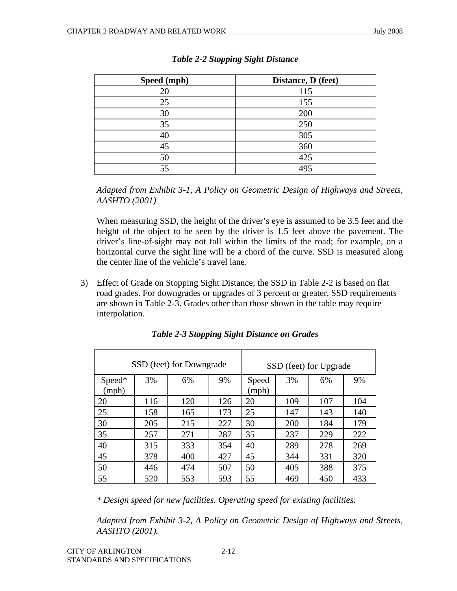| Speed (mph) | Distance, D (feet) |
|-------------|--------------------|
| 20          | 115                |
| 25          | 155                |
| 30          | 200                |
| 35          | 250                |
| 40          | 305                |
| 45          | 360                |
| 50          | 425                |
| 55          | 495                |

#### *Table 2-2 Stopping Sight Distance*

*Adapted from Exhibit 3-1, A Policy on Geometric Design of Highways and Streets, AASHTO (2001)* 

When measuring SSD, the height of the driver's eye is assumed to be 3.5 feet and the height of the object to be seen by the driver is 1.5 feet above the pavement. The driver's line-of-sight may not fall within the limits of the road; for example, on a horizontal curve the sight line will be a chord of the curve. SSD is measured along the center line of the vehicle's travel lane.

3) Effect of Grade on Stopping Sight Distance; the SSD in Table 2-2 is based on flat road grades. For downgrades or upgrades of 3 percent or greater, SSD requirements are shown in Table 2-3. Grades other than those shown in the table may require interpolation.

|                 |     | SSD (feet) for Downgrade |     |                |     | SSD (feet) for Upgrade |     |
|-----------------|-----|--------------------------|-----|----------------|-----|------------------------|-----|
| Speed*<br>(mph) | 3%  | 6%                       | 9%  | Speed<br>(mph) | 3%  | 6%                     | 9%  |
| 20              | 116 | 120                      | 126 | 20             | 109 | 107                    | 104 |
| 25              | 158 | 165                      | 173 | 25             | 147 | 143                    | 140 |
| 30              | 205 | 215                      | 227 | 30             | 200 | 184                    | 179 |
| 35              | 257 | 271                      | 287 | 35             | 237 | 229                    | 222 |
| 40              | 315 | 333                      | 354 | 40             | 289 | 278                    | 269 |
| 45              | 378 | 400                      | 427 | 45             | 344 | 331                    | 320 |
| 50              | 446 | 474                      | 507 | 50             | 405 | 388                    | 375 |
| 55              | 520 | 553                      | 593 | 55             | 469 | 450                    | 433 |

*Table 2-3 Stopping Sight Distance on Grades* 

*\* Design speed for new facilities. Operating speed for existing facilities.* 

*Adapted from Exhibit 3-2, A Policy on Geometric Design of Highways and Streets, AASHTO (2001).*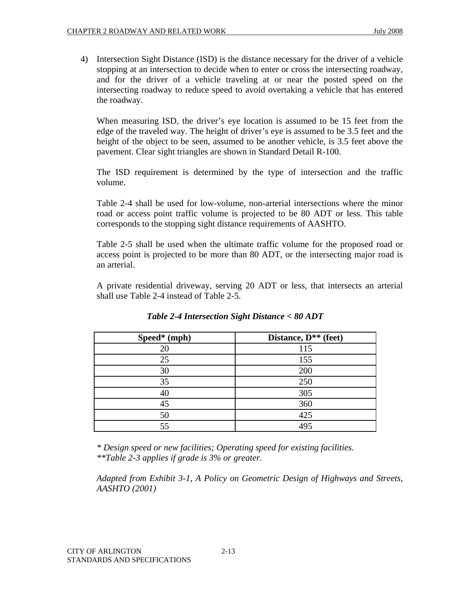4) Intersection Sight Distance (ISD) is the distance necessary for the driver of a vehicle stopping at an intersection to decide when to enter or cross the intersecting roadway, and for the driver of a vehicle traveling at or near the posted speed on the intersecting roadway to reduce speed to avoid overtaking a vehicle that has entered the roadway.

When measuring ISD, the driver's eye location is assumed to be 15 feet from the edge of the traveled way. The height of driver's eye is assumed to be 3.5 feet and the height of the object to be seen, assumed to be another vehicle, is 3.5 feet above the pavement. Clear sight triangles are shown in Standard Detail R-100.

The ISD requirement is determined by the type of intersection and the traffic volume.

Table 2-4 shall be used for low-volume, non-arterial intersections where the minor road or access point traffic volume is projected to be 80 ADT or less. This table corresponds to the stopping sight distance requirements of AASHTO.

Table 2-5 shall be used when the ultimate traffic volume for the proposed road or access point is projected to be more than 80 ADT, or the intersecting major road is an arterial.

A private residential driveway, serving 20 ADT or less, that intersects an arterial shall use Table 2-4 instead of Table 2-5.

| Speed* (mph) | Distance, D <sup>**</sup> (feet) |
|--------------|----------------------------------|
| 20           | 115                              |
| 25           | 155                              |
| 30           | 200                              |
| 35           | 250                              |
| 40           | 305                              |
| 45           | 360                              |
| 50           | 425                              |
| 55           | 495                              |

*Table 2-4 Intersection Sight Distance < 80 ADT* 

*\* Design speed or new facilities; Operating speed for existing facilities. \*\*Table 2-3 applies if grade is 3% or greater.* 

*Adapted from Exhibit 3-1, A Policy on Geometric Design of Highways and Streets, AASHTO (2001)*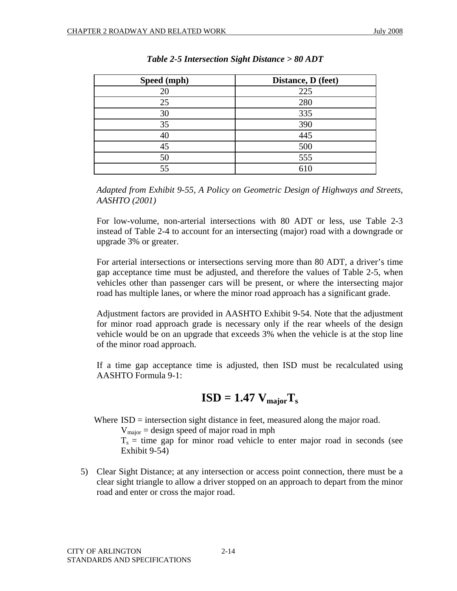| Speed (mph) | Distance, D (feet) |
|-------------|--------------------|
| 20          | 225                |
| 25          | 280                |
| 30          | 335                |
| 35          | 390                |
| 40          | 445                |
| 45          | 500                |
| 50          | 555                |
| 55          |                    |

*Table 2-5 Intersection Sight Distance > 80 ADT* 

*Adapted from Exhibit 9-55, A Policy on Geometric Design of Highways and Streets, AASHTO (2001)* 

For low-volume, non-arterial intersections with 80 ADT or less, use Table 2-3 instead of Table 2-4 to account for an intersecting (major) road with a downgrade or upgrade 3% or greater.

For arterial intersections or intersections serving more than 80 ADT, a driver's time gap acceptance time must be adjusted, and therefore the values of Table 2-5, when vehicles other than passenger cars will be present, or where the intersecting major road has multiple lanes, or where the minor road approach has a significant grade.

Adjustment factors are provided in AASHTO Exhibit 9-54. Note that the adjustment for minor road approach grade is necessary only if the rear wheels of the design vehicle would be on an upgrade that exceeds 3% when the vehicle is at the stop line of the minor road approach.

If a time gap acceptance time is adjusted, then ISD must be recalculated using AASHTO Formula 9-1:

$$
ISD = 1.47 V_{major}T_s
$$

Where ISD = intersection sight distance in feet, measured along the major road.

 $V_{\text{major}} =$  design speed of major road in mph

 $T_s$  = time gap for minor road vehicle to enter major road in seconds (see Exhibit 9-54)

5) Clear Sight Distance; at any intersection or access point connection, there must be a clear sight triangle to allow a driver stopped on an approach to depart from the minor road and enter or cross the major road.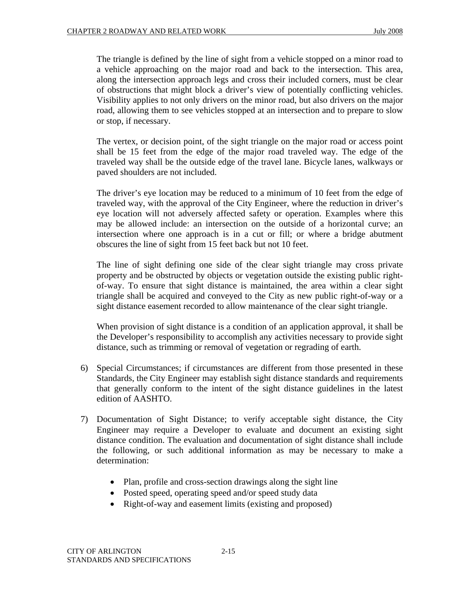The triangle is defined by the line of sight from a vehicle stopped on a minor road to a vehicle approaching on the major road and back to the intersection. This area, along the intersection approach legs and cross their included corners, must be clear of obstructions that might block a driver's view of potentially conflicting vehicles. Visibility applies to not only drivers on the minor road, but also drivers on the major road, allowing them to see vehicles stopped at an intersection and to prepare to slow or stop, if necessary.

The vertex, or decision point, of the sight triangle on the major road or access point shall be 15 feet from the edge of the major road traveled way. The edge of the traveled way shall be the outside edge of the travel lane. Bicycle lanes, walkways or paved shoulders are not included.

The driver's eye location may be reduced to a minimum of 10 feet from the edge of traveled way, with the approval of the City Engineer, where the reduction in driver's eye location will not adversely affected safety or operation. Examples where this may be allowed include: an intersection on the outside of a horizontal curve; an intersection where one approach is in a cut or fill; or where a bridge abutment obscures the line of sight from 15 feet back but not 10 feet.

The line of sight defining one side of the clear sight triangle may cross private property and be obstructed by objects or vegetation outside the existing public rightof-way. To ensure that sight distance is maintained, the area within a clear sight triangle shall be acquired and conveyed to the City as new public right-of-way or a sight distance easement recorded to allow maintenance of the clear sight triangle.

When provision of sight distance is a condition of an application approval, it shall be the Developer's responsibility to accomplish any activities necessary to provide sight distance, such as trimming or removal of vegetation or regrading of earth.

- 6) Special Circumstances; if circumstances are different from those presented in these Standards, the City Engineer may establish sight distance standards and requirements that generally conform to the intent of the sight distance guidelines in the latest edition of AASHTO.
- 7) Documentation of Sight Distance; to verify acceptable sight distance, the City Engineer may require a Developer to evaluate and document an existing sight distance condition. The evaluation and documentation of sight distance shall include the following, or such additional information as may be necessary to make a determination:
	- Plan, profile and cross-section drawings along the sight line
	- Posted speed, operating speed and/or speed study data
	- Right-of-way and easement limits (existing and proposed)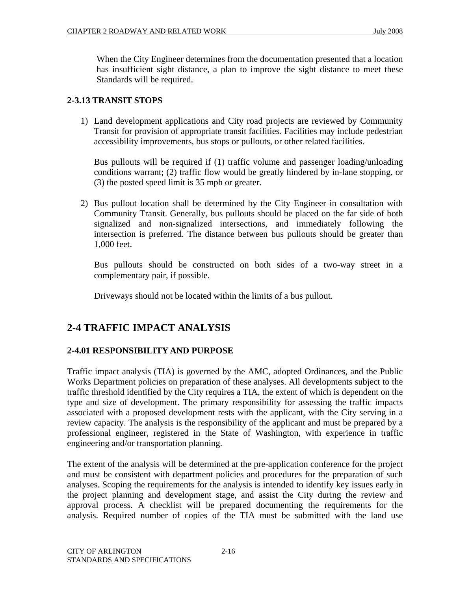When the City Engineer determines from the documentation presented that a location has insufficient sight distance, a plan to improve the sight distance to meet these Standards will be required.

# **2-3.13 TRANSIT STOPS**

1) Land development applications and City road projects are reviewed by Community Transit for provision of appropriate transit facilities. Facilities may include pedestrian accessibility improvements, bus stops or pullouts, or other related facilities.

Bus pullouts will be required if (1) traffic volume and passenger loading/unloading conditions warrant; (2) traffic flow would be greatly hindered by in-lane stopping, or (3) the posted speed limit is 35 mph or greater.

2) Bus pullout location shall be determined by the City Engineer in consultation with Community Transit. Generally, bus pullouts should be placed on the far side of both signalized and non-signalized intersections, and immediately following the intersection is preferred. The distance between bus pullouts should be greater than 1,000 feet.

Bus pullouts should be constructed on both sides of a two-way street in a complementary pair, if possible.

Driveways should not be located within the limits of a bus pullout.

# **2-4 TRAFFIC IMPACT ANALYSIS**

# **2-4.01 RESPONSIBILITY AND PURPOSE**

Traffic impact analysis (TIA) is governed by the AMC, adopted Ordinances, and the Public Works Department policies on preparation of these analyses. All developments subject to the traffic threshold identified by the City requires a TIA, the extent of which is dependent on the type and size of development. The primary responsibility for assessing the traffic impacts associated with a proposed development rests with the applicant, with the City serving in a review capacity. The analysis is the responsibility of the applicant and must be prepared by a professional engineer, registered in the State of Washington, with experience in traffic engineering and/or transportation planning.

The extent of the analysis will be determined at the pre-application conference for the project and must be consistent with department policies and procedures for the preparation of such analyses. Scoping the requirements for the analysis is intended to identify key issues early in the project planning and development stage, and assist the City during the review and approval process. A checklist will be prepared documenting the requirements for the analysis. Required number of copies of the TIA must be submitted with the land use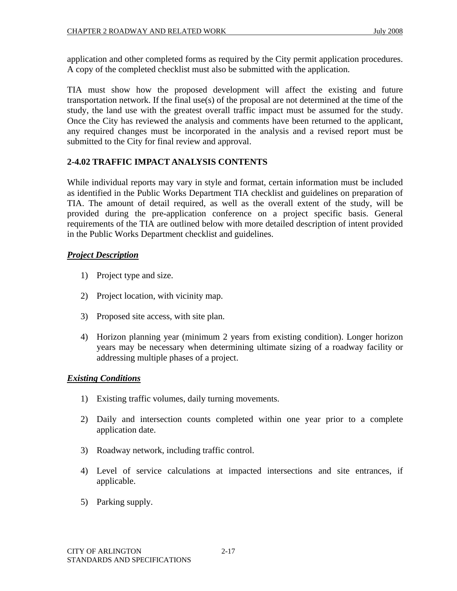application and other completed forms as required by the City permit application procedures. A copy of the completed checklist must also be submitted with the application.

TIA must show how the proposed development will affect the existing and future transportation network. If the final use(s) of the proposal are not determined at the time of the study, the land use with the greatest overall traffic impact must be assumed for the study. Once the City has reviewed the analysis and comments have been returned to the applicant, any required changes must be incorporated in the analysis and a revised report must be submitted to the City for final review and approval.

# **2-4.02 TRAFFIC IMPACT ANALYSIS CONTENTS**

While individual reports may vary in style and format, certain information must be included as identified in the Public Works Department TIA checklist and guidelines on preparation of TIA. The amount of detail required, as well as the overall extent of the study, will be provided during the pre-application conference on a project specific basis. General requirements of the TIA are outlined below with more detailed description of intent provided in the Public Works Department checklist and guidelines.

#### *Project Description*

- 1) Project type and size.
- 2) Project location, with vicinity map.
- 3) Proposed site access, with site plan.
- 4) Horizon planning year (minimum 2 years from existing condition). Longer horizon years may be necessary when determining ultimate sizing of a roadway facility or addressing multiple phases of a project.

#### *Existing Conditions*

- 1) Existing traffic volumes, daily turning movements.
- 2) Daily and intersection counts completed within one year prior to a complete application date.
- 3) Roadway network, including traffic control.
- 4) Level of service calculations at impacted intersections and site entrances, if applicable.
- 5) Parking supply.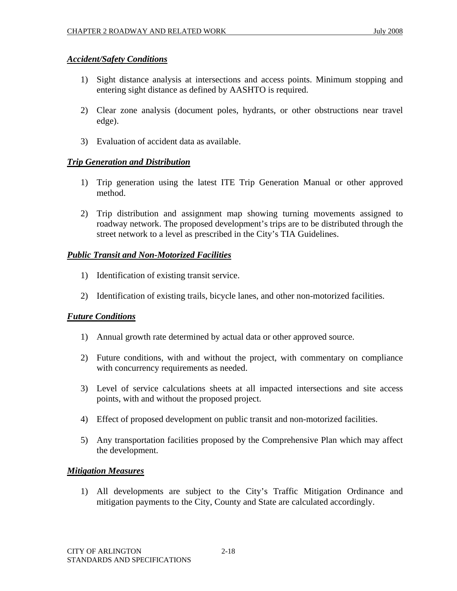#### *Accident/Safety Conditions*

- 1) Sight distance analysis at intersections and access points. Minimum stopping and entering sight distance as defined by AASHTO is required.
- 2) Clear zone analysis (document poles, hydrants, or other obstructions near travel edge).
- 3) Evaluation of accident data as available.

#### *Trip Generation and Distribution*

- 1) Trip generation using the latest ITE Trip Generation Manual or other approved method.
- 2) Trip distribution and assignment map showing turning movements assigned to roadway network. The proposed development's trips are to be distributed through the street network to a level as prescribed in the City's TIA Guidelines.

#### *Public Transit and Non-Motorized Facilities*

- 1) Identification of existing transit service.
- 2) Identification of existing trails, bicycle lanes, and other non-motorized facilities.

#### *Future Conditions*

- 1) Annual growth rate determined by actual data or other approved source.
- 2) Future conditions, with and without the project, with commentary on compliance with concurrency requirements as needed.
- 3) Level of service calculations sheets at all impacted intersections and site access points, with and without the proposed project.
- 4) Effect of proposed development on public transit and non-motorized facilities.
- 5) Any transportation facilities proposed by the Comprehensive Plan which may affect the development.

#### *Mitigation Measures*

1) All developments are subject to the City's Traffic Mitigation Ordinance and mitigation payments to the City, County and State are calculated accordingly.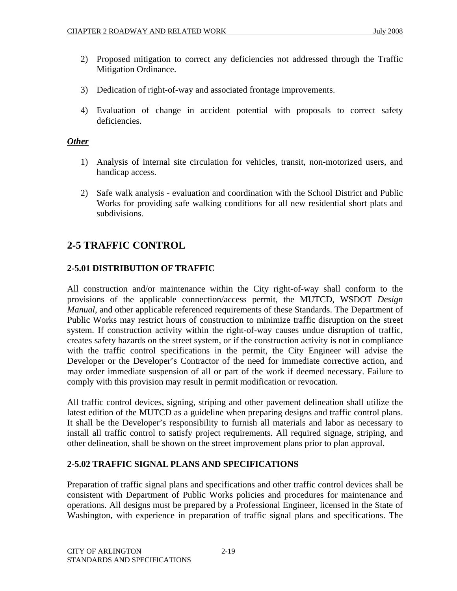- 2) Proposed mitigation to correct any deficiencies not addressed through the Traffic Mitigation Ordinance.
- 3) Dedication of right-of-way and associated frontage improvements.
- 4) Evaluation of change in accident potential with proposals to correct safety deficiencies.

#### *Other*

- 1) Analysis of internal site circulation for vehicles, transit, non-motorized users, and handicap access.
- 2) Safe walk analysis evaluation and coordination with the School District and Public Works for providing safe walking conditions for all new residential short plats and subdivisions.

# **2-5 TRAFFIC CONTROL**

# **2-5.01 DISTRIBUTION OF TRAFFIC**

All construction and/or maintenance within the City right-of-way shall conform to the provisions of the applicable connection/access permit, the MUTCD, WSDOT *Design Manual*, and other applicable referenced requirements of these Standards. The Department of Public Works may restrict hours of construction to minimize traffic disruption on the street system. If construction activity within the right-of-way causes undue disruption of traffic, creates safety hazards on the street system, or if the construction activity is not in compliance with the traffic control specifications in the permit, the City Engineer will advise the Developer or the Developer's Contractor of the need for immediate corrective action, and may order immediate suspension of all or part of the work if deemed necessary. Failure to comply with this provision may result in permit modification or revocation.

All traffic control devices, signing, striping and other pavement delineation shall utilize the latest edition of the MUTCD as a guideline when preparing designs and traffic control plans. It shall be the Developer's responsibility to furnish all materials and labor as necessary to install all traffic control to satisfy project requirements. All required signage, striping, and other delineation, shall be shown on the street improvement plans prior to plan approval.

#### **2-5.02 TRAFFIC SIGNAL PLANS AND SPECIFICATIONS**

Preparation of traffic signal plans and specifications and other traffic control devices shall be consistent with Department of Public Works policies and procedures for maintenance and operations. All designs must be prepared by a Professional Engineer, licensed in the State of Washington, with experience in preparation of traffic signal plans and specifications. The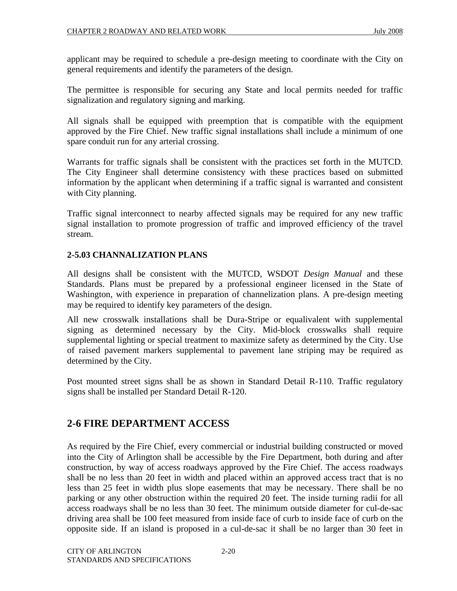applicant may be required to schedule a pre-design meeting to coordinate with the City on general requirements and identify the parameters of the design.

The permittee is responsible for securing any State and local permits needed for traffic signalization and regulatory signing and marking.

All signals shall be equipped with preemption that is compatible with the equipment approved by the Fire Chief. New traffic signal installations shall include a minimum of one spare conduit run for any arterial crossing.

Warrants for traffic signals shall be consistent with the practices set forth in the MUTCD. The City Engineer shall determine consistency with these practices based on submitted information by the applicant when determining if a traffic signal is warranted and consistent with City planning.

Traffic signal interconnect to nearby affected signals may be required for any new traffic signal installation to promote progression of traffic and improved efficiency of the travel stream.

#### **2-5.03 CHANNALIZATION PLANS**

All designs shall be consistent with the MUTCD, WSDOT *Design Manual* and these Standards. Plans must be prepared by a professional engineer licensed in the State of Washington, with experience in preparation of channelization plans. A pre-design meeting may be required to identify key parameters of the design.

All new crosswalk installations shall be Dura-Stripe or equalivalent with supplemental signing as determined necessary by the City. Mid-block crosswalks shall require supplemental lighting or special treatment to maximize safety as determined by the City. Use of raised pavement markers supplemental to pavement lane striping may be required as determined by the City.

Post mounted street signs shall be as shown in Standard Detail R-110. Traffic regulatory signs shall be installed per Standard Detail R-120.

# **2-6 FIRE DEPARTMENT ACCESS**

As required by the Fire Chief, every commercial or industrial building constructed or moved into the City of Arlington shall be accessible by the Fire Department, both during and after construction, by way of access roadways approved by the Fire Chief. The access roadways shall be no less than 20 feet in width and placed within an approved access tract that is no less than 25 feet in width plus slope easements that may be necessary. There shall be no parking or any other obstruction within the required 20 feet. The inside turning radii for all access roadways shall be no less than 30 feet. The minimum outside diameter for cul-de-sac driving area shall be 100 feet measured from inside face of curb to inside face of curb on the opposite side. If an island is proposed in a cul-de-sac it shall be no larger than 30 feet in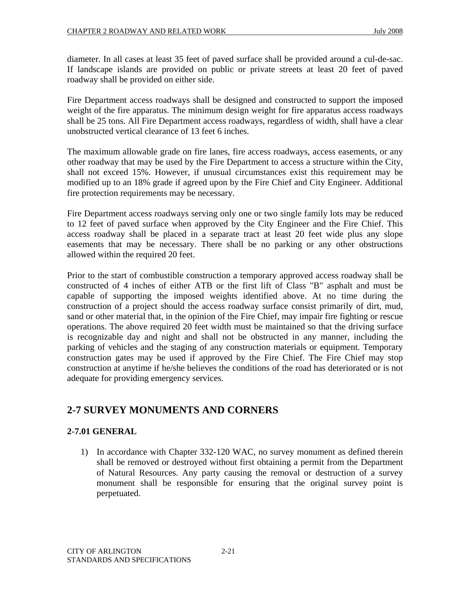diameter. In all cases at least 35 feet of paved surface shall be provided around a cul-de-sac. If landscape islands are provided on public or private streets at least 20 feet of paved roadway shall be provided on either side.

Fire Department access roadways shall be designed and constructed to support the imposed weight of the fire apparatus. The minimum design weight for fire apparatus access roadways shall be 25 tons. All Fire Department access roadways, regardless of width, shall have a clear unobstructed vertical clearance of 13 feet 6 inches.

The maximum allowable grade on fire lanes, fire access roadways, access easements, or any other roadway that may be used by the Fire Department to access a structure within the City, shall not exceed 15%. However, if unusual circumstances exist this requirement may be modified up to an 18% grade if agreed upon by the Fire Chief and City Engineer. Additional fire protection requirements may be necessary.

Fire Department access roadways serving only one or two single family lots may be reduced to 12 feet of paved surface when approved by the City Engineer and the Fire Chief. This access roadway shall be placed in a separate tract at least 20 feet wide plus any slope easements that may be necessary. There shall be no parking or any other obstructions allowed within the required 20 feet.

Prior to the start of combustible construction a temporary approved access roadway shall be constructed of 4 inches of either ATB or the first lift of Class "B" asphalt and must be capable of supporting the imposed weights identified above. At no time during the construction of a project should the access roadway surface consist primarily of dirt, mud, sand or other material that, in the opinion of the Fire Chief, may impair fire fighting or rescue operations. The above required 20 feet width must be maintained so that the driving surface is recognizable day and night and shall not be obstructed in any manner, including the parking of vehicles and the staging of any construction materials or equipment. Temporary construction gates may be used if approved by the Fire Chief. The Fire Chief may stop construction at anytime if he/she believes the conditions of the road has deteriorated or is not adequate for providing emergency services.

# **2-7 SURVEY MONUMENTS AND CORNERS**

# **2-7.01 GENERAL**

1) In accordance with Chapter 332-120 WAC, no survey monument as defined therein shall be removed or destroyed without first obtaining a permit from the Department of Natural Resources. Any party causing the removal or destruction of a survey monument shall be responsible for ensuring that the original survey point is perpetuated.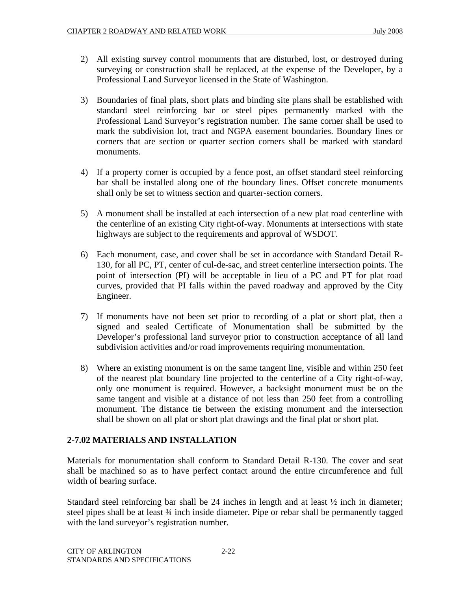- 2) All existing survey control monuments that are disturbed, lost, or destroyed during surveying or construction shall be replaced, at the expense of the Developer, by a Professional Land Surveyor licensed in the State of Washington.
- 3) Boundaries of final plats, short plats and binding site plans shall be established with standard steel reinforcing bar or steel pipes permanently marked with the Professional Land Surveyor's registration number. The same corner shall be used to mark the subdivision lot, tract and NGPA easement boundaries. Boundary lines or corners that are section or quarter section corners shall be marked with standard monuments.
- 4) If a property corner is occupied by a fence post, an offset standard steel reinforcing bar shall be installed along one of the boundary lines. Offset concrete monuments shall only be set to witness section and quarter-section corners.
- 5) A monument shall be installed at each intersection of a new plat road centerline with the centerline of an existing City right-of-way. Monuments at intersections with state highways are subject to the requirements and approval of WSDOT.
- 6) Each monument, case, and cover shall be set in accordance with Standard Detail R-130, for all PC, PT, center of cul-de-sac, and street centerline intersection points. The point of intersection (PI) will be acceptable in lieu of a PC and PT for plat road curves, provided that PI falls within the paved roadway and approved by the City Engineer.
- 7) If monuments have not been set prior to recording of a plat or short plat, then a signed and sealed Certificate of Monumentation shall be submitted by the Developer's professional land surveyor prior to construction acceptance of all land subdivision activities and/or road improvements requiring monumentation.
- 8) Where an existing monument is on the same tangent line, visible and within 250 feet of the nearest plat boundary line projected to the centerline of a City right-of-way, only one monument is required. However, a backsight monument must be on the same tangent and visible at a distance of not less than 250 feet from a controlling monument. The distance tie between the existing monument and the intersection shall be shown on all plat or short plat drawings and the final plat or short plat.

# **2-7.02 MATERIALS AND INSTALLATION**

Materials for monumentation shall conform to Standard Detail R-130. The cover and seat shall be machined so as to have perfect contact around the entire circumference and full width of bearing surface.

Standard steel reinforcing bar shall be 24 inches in length and at least  $\frac{1}{2}$  inch in diameter; steel pipes shall be at least 34 inch inside diameter. Pipe or rebar shall be permanently tagged with the land surveyor's registration number.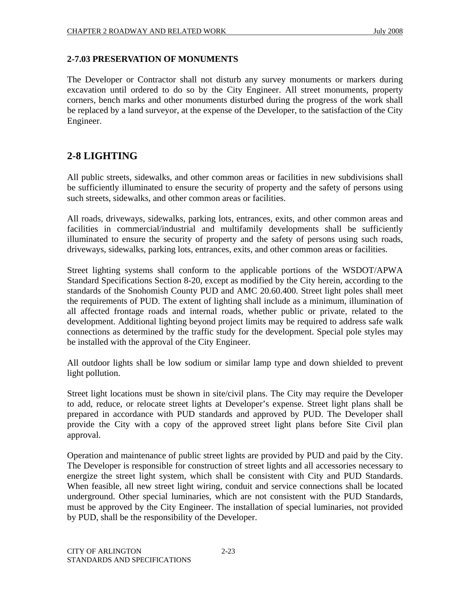#### **2-7.03 PRESERVATION OF MONUMENTS**

The Developer or Contractor shall not disturb any survey monuments or markers during excavation until ordered to do so by the City Engineer. All street monuments, property corners, bench marks and other monuments disturbed during the progress of the work shall be replaced by a land surveyor, at the expense of the Developer, to the satisfaction of the City Engineer.

# **2-8 LIGHTING**

All public streets, sidewalks, and other common areas or facilities in new subdivisions shall be sufficiently illuminated to ensure the security of property and the safety of persons using such streets, sidewalks, and other common areas or facilities.

All roads, driveways, sidewalks, parking lots, entrances, exits, and other common areas and facilities in commercial/industrial and multifamily developments shall be sufficiently illuminated to ensure the security of property and the safety of persons using such roads, driveways, sidewalks, parking lots, entrances, exits, and other common areas or facilities.

Street lighting systems shall conform to the applicable portions of the WSDOT/APWA Standard Specifications Section 8-20, except as modified by the City herein, according to the standards of the Snohomish County PUD and AMC 20.60.400. Street light poles shall meet the requirements of PUD. The extent of lighting shall include as a minimum, illumination of all affected frontage roads and internal roads, whether public or private, related to the development. Additional lighting beyond project limits may be required to address safe walk connections as determined by the traffic study for the development. Special pole styles may be installed with the approval of the City Engineer.

All outdoor lights shall be low sodium or similar lamp type and down shielded to prevent light pollution.

Street light locations must be shown in site/civil plans. The City may require the Developer to add, reduce, or relocate street lights at Developer's expense. Street light plans shall be prepared in accordance with PUD standards and approved by PUD. The Developer shall provide the City with a copy of the approved street light plans before Site Civil plan approval.

Operation and maintenance of public street lights are provided by PUD and paid by the City. The Developer is responsible for construction of street lights and all accessories necessary to energize the street light system, which shall be consistent with City and PUD Standards. When feasible, all new street light wiring, conduit and service connections shall be located underground. Other special luminaries, which are not consistent with the PUD Standards, must be approved by the City Engineer. The installation of special luminaries, not provided by PUD, shall be the responsibility of the Developer.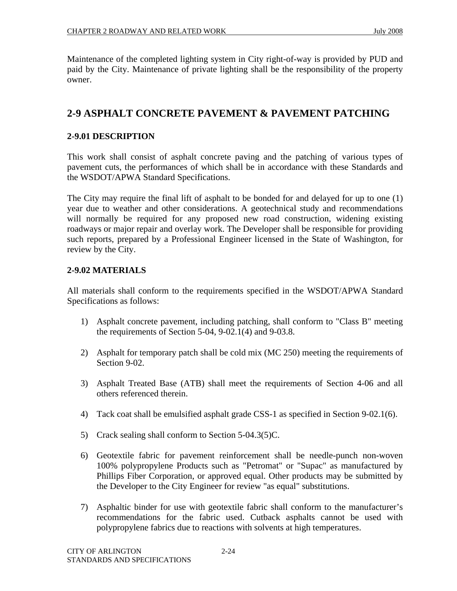Maintenance of the completed lighting system in City right-of-way is provided by PUD and paid by the City. Maintenance of private lighting shall be the responsibility of the property owner.

# **2-9 ASPHALT CONCRETE PAVEMENT & PAVEMENT PATCHING**

#### **2-9.01 DESCRIPTION**

This work shall consist of asphalt concrete paving and the patching of various types of pavement cuts, the performances of which shall be in accordance with these Standards and the WSDOT/APWA Standard Specifications.

The City may require the final lift of asphalt to be bonded for and delayed for up to one (1) year due to weather and other considerations. A geotechnical study and recommendations will normally be required for any proposed new road construction, widening existing roadways or major repair and overlay work. The Developer shall be responsible for providing such reports, prepared by a Professional Engineer licensed in the State of Washington, for review by the City.

#### **2-9.02 MATERIALS**

All materials shall conform to the requirements specified in the WSDOT/APWA Standard Specifications as follows:

- 1) Asphalt concrete pavement, including patching, shall conform to "Class B" meeting the requirements of Section 5-04, 9-02.1(4) and 9-03.8.
- 2) Asphalt for temporary patch shall be cold mix (MC 250) meeting the requirements of Section 9-02.
- 3) Asphalt Treated Base (ATB) shall meet the requirements of Section 4-06 and all others referenced therein.
- 4) Tack coat shall be emulsified asphalt grade CSS-1 as specified in Section 9-02.1(6).
- 5) Crack sealing shall conform to Section 5-04.3(5)C.
- 6) Geotextile fabric for pavement reinforcement shall be needle-punch non-woven 100% polypropylene Products such as "Petromat" or "Supac" as manufactured by Phillips Fiber Corporation, or approved equal. Other products may be submitted by the Developer to the City Engineer for review "as equal" substitutions.
- 7) Asphaltic binder for use with geotextile fabric shall conform to the manufacturer's recommendations for the fabric used. Cutback asphalts cannot be used with polypropylene fabrics due to reactions with solvents at high temperatures.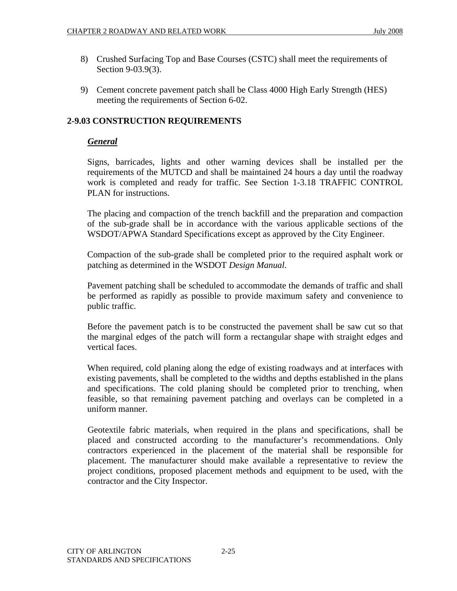- 8) Crushed Surfacing Top and Base Courses (CSTC) shall meet the requirements of Section 9-03.9(3).
- 9) Cement concrete pavement patch shall be Class 4000 High Early Strength (HES) meeting the requirements of Section 6-02.

# **2-9.03 CONSTRUCTION REQUIREMENTS**

#### *General*

Signs, barricades, lights and other warning devices shall be installed per the requirements of the MUTCD and shall be maintained 24 hours a day until the roadway work is completed and ready for traffic. See Section 1-3.18 TRAFFIC CONTROL PLAN for instructions.

The placing and compaction of the trench backfill and the preparation and compaction of the sub-grade shall be in accordance with the various applicable sections of the WSDOT/APWA Standard Specifications except as approved by the City Engineer.

Compaction of the sub-grade shall be completed prior to the required asphalt work or patching as determined in the WSDOT *Design Manual*.

Pavement patching shall be scheduled to accommodate the demands of traffic and shall be performed as rapidly as possible to provide maximum safety and convenience to public traffic.

Before the pavement patch is to be constructed the pavement shall be saw cut so that the marginal edges of the patch will form a rectangular shape with straight edges and vertical faces.

When required, cold planing along the edge of existing roadways and at interfaces with existing pavements, shall be completed to the widths and depths established in the plans and specifications. The cold planing should be completed prior to trenching, when feasible, so that remaining pavement patching and overlays can be completed in a uniform manner.

Geotextile fabric materials, when required in the plans and specifications, shall be placed and constructed according to the manufacturer's recommendations. Only contractors experienced in the placement of the material shall be responsible for placement. The manufacturer should make available a representative to review the project conditions, proposed placement methods and equipment to be used, with the contractor and the City Inspector.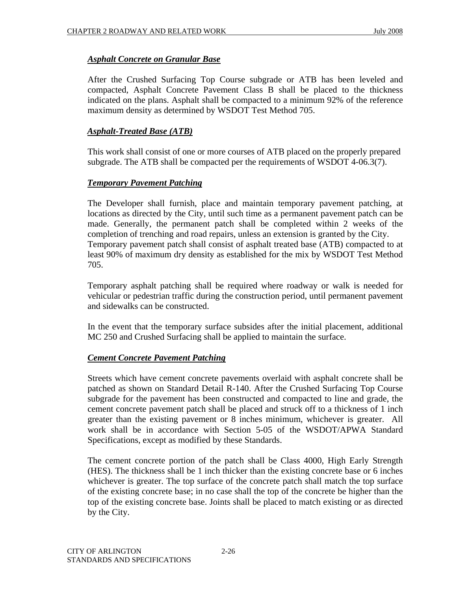# *Asphalt Concrete on Granular Base*

After the Crushed Surfacing Top Course subgrade or ATB has been leveled and compacted, Asphalt Concrete Pavement Class B shall be placed to the thickness indicated on the plans. Asphalt shall be compacted to a minimum 92% of the reference maximum density as determined by WSDOT Test Method 705.

## *Asphalt-Treated Base (ATB)*

This work shall consist of one or more courses of ATB placed on the properly prepared subgrade. The ATB shall be compacted per the requirements of WSDOT 4-06.3(7).

#### *Temporary Pavement Patching*

The Developer shall furnish, place and maintain temporary pavement patching, at locations as directed by the City, until such time as a permanent pavement patch can be made. Generally, the permanent patch shall be completed within 2 weeks of the completion of trenching and road repairs, unless an extension is granted by the City. Temporary pavement patch shall consist of asphalt treated base (ATB) compacted to at least 90% of maximum dry density as established for the mix by WSDOT Test Method 705.

Temporary asphalt patching shall be required where roadway or walk is needed for vehicular or pedestrian traffic during the construction period, until permanent pavement and sidewalks can be constructed.

In the event that the temporary surface subsides after the initial placement, additional MC 250 and Crushed Surfacing shall be applied to maintain the surface.

#### *Cement Concrete Pavement Patching*

Streets which have cement concrete pavements overlaid with asphalt concrete shall be patched as shown on Standard Detail R-140. After the Crushed Surfacing Top Course subgrade for the pavement has been constructed and compacted to line and grade, the cement concrete pavement patch shall be placed and struck off to a thickness of 1 inch greater than the existing pavement or 8 inches minimum, whichever is greater. All work shall be in accordance with Section 5-05 of the WSDOT/APWA Standard Specifications, except as modified by these Standards.

The cement concrete portion of the patch shall be Class 4000, High Early Strength (HES). The thickness shall be 1 inch thicker than the existing concrete base or 6 inches whichever is greater. The top surface of the concrete patch shall match the top surface of the existing concrete base; in no case shall the top of the concrete be higher than the top of the existing concrete base. Joints shall be placed to match existing or as directed by the City.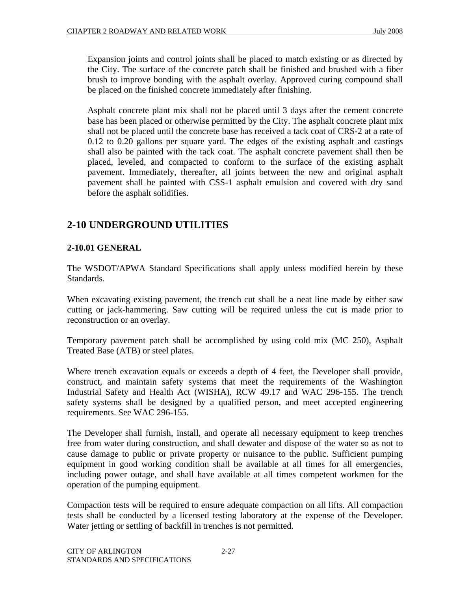Expansion joints and control joints shall be placed to match existing or as directed by the City. The surface of the concrete patch shall be finished and brushed with a fiber brush to improve bonding with the asphalt overlay. Approved curing compound shall be placed on the finished concrete immediately after finishing.

Asphalt concrete plant mix shall not be placed until 3 days after the cement concrete base has been placed or otherwise permitted by the City. The asphalt concrete plant mix shall not be placed until the concrete base has received a tack coat of CRS-2 at a rate of 0.12 to 0.20 gallons per square yard. The edges of the existing asphalt and castings shall also be painted with the tack coat. The asphalt concrete pavement shall then be placed, leveled, and compacted to conform to the surface of the existing asphalt pavement. Immediately, thereafter, all joints between the new and original asphalt pavement shall be painted with CSS-1 asphalt emulsion and covered with dry sand before the asphalt solidifies.

# **2-10 UNDERGROUND UTILITIES**

# **2-10.01 GENERAL**

The WSDOT/APWA Standard Specifications shall apply unless modified herein by these Standards.

When excavating existing pavement, the trench cut shall be a neat line made by either saw cutting or jack-hammering. Saw cutting will be required unless the cut is made prior to reconstruction or an overlay.

Temporary pavement patch shall be accomplished by using cold mix (MC 250), Asphalt Treated Base (ATB) or steel plates.

Where trench excavation equals or exceeds a depth of 4 feet, the Developer shall provide, construct, and maintain safety systems that meet the requirements of the Washington Industrial Safety and Health Act (WISHA), RCW 49.17 and WAC 296-155. The trench safety systems shall be designed by a qualified person, and meet accepted engineering requirements. See WAC 296-155.

The Developer shall furnish, install, and operate all necessary equipment to keep trenches free from water during construction, and shall dewater and dispose of the water so as not to cause damage to public or private property or nuisance to the public. Sufficient pumping equipment in good working condition shall be available at all times for all emergencies, including power outage, and shall have available at all times competent workmen for the operation of the pumping equipment.

Compaction tests will be required to ensure adequate compaction on all lifts. All compaction tests shall be conducted by a licensed testing laboratory at the expense of the Developer. Water jetting or settling of backfill in trenches is not permitted.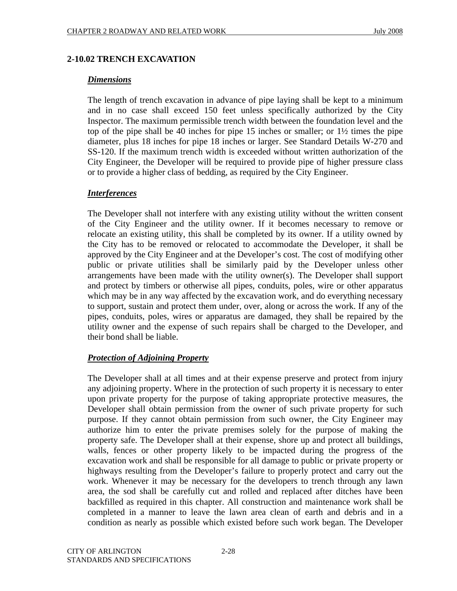## **2-10.02 TRENCH EXCAVATION**

#### *Dimensions*

The length of trench excavation in advance of pipe laying shall be kept to a minimum and in no case shall exceed 150 feet unless specifically authorized by the City Inspector. The maximum permissible trench width between the foundation level and the top of the pipe shall be 40 inches for pipe 15 inches or smaller; or 1½ times the pipe diameter, plus 18 inches for pipe 18 inches or larger. See Standard Details W-270 and SS-120. If the maximum trench width is exceeded without written authorization of the City Engineer, the Developer will be required to provide pipe of higher pressure class or to provide a higher class of bedding, as required by the City Engineer.

#### *Interferences*

The Developer shall not interfere with any existing utility without the written consent of the City Engineer and the utility owner. If it becomes necessary to remove or relocate an existing utility, this shall be completed by its owner. If a utility owned by the City has to be removed or relocated to accommodate the Developer, it shall be approved by the City Engineer and at the Developer's cost. The cost of modifying other public or private utilities shall be similarly paid by the Developer unless other arrangements have been made with the utility owner(s). The Developer shall support and protect by timbers or otherwise all pipes, conduits, poles, wire or other apparatus which may be in any way affected by the excavation work, and do everything necessary to support, sustain and protect them under, over, along or across the work. If any of the pipes, conduits, poles, wires or apparatus are damaged, they shall be repaired by the utility owner and the expense of such repairs shall be charged to the Developer, and their bond shall be liable.

# *Protection of Adjoining Property*

The Developer shall at all times and at their expense preserve and protect from injury any adjoining property. Where in the protection of such property it is necessary to enter upon private property for the purpose of taking appropriate protective measures, the Developer shall obtain permission from the owner of such private property for such purpose. If they cannot obtain permission from such owner, the City Engineer may authorize him to enter the private premises solely for the purpose of making the property safe. The Developer shall at their expense, shore up and protect all buildings, walls, fences or other property likely to be impacted during the progress of the excavation work and shall be responsible for all damage to public or private property or highways resulting from the Developer's failure to properly protect and carry out the work. Whenever it may be necessary for the developers to trench through any lawn area, the sod shall be carefully cut and rolled and replaced after ditches have been backfilled as required in this chapter. All construction and maintenance work shall be completed in a manner to leave the lawn area clean of earth and debris and in a condition as nearly as possible which existed before such work began. The Developer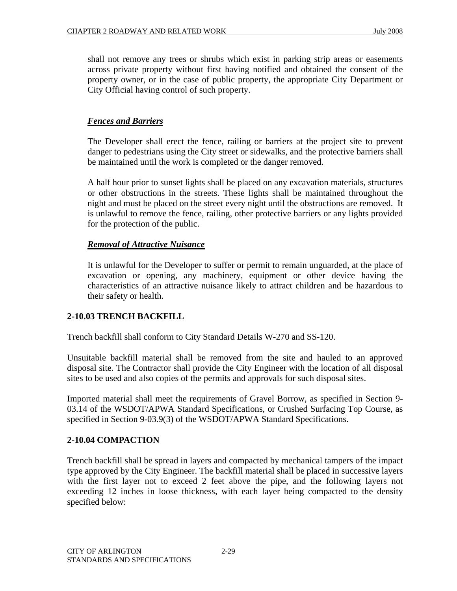shall not remove any trees or shrubs which exist in parking strip areas or easements across private property without first having notified and obtained the consent of the property owner, or in the case of public property, the appropriate City Department or City Official having control of such property.

## *Fences and Barriers*

The Developer shall erect the fence, railing or barriers at the project site to prevent danger to pedestrians using the City street or sidewalks, and the protective barriers shall be maintained until the work is completed or the danger removed.

A half hour prior to sunset lights shall be placed on any excavation materials, structures or other obstructions in the streets. These lights shall be maintained throughout the night and must be placed on the street every night until the obstructions are removed. It is unlawful to remove the fence, railing, other protective barriers or any lights provided for the protection of the public.

#### *Removal of Attractive Nuisance*

It is unlawful for the Developer to suffer or permit to remain unguarded, at the place of excavation or opening, any machinery, equipment or other device having the characteristics of an attractive nuisance likely to attract children and be hazardous to their safety or health.

#### **2-10.03 TRENCH BACKFILL**

Trench backfill shall conform to City Standard Details W-270 and SS-120.

Unsuitable backfill material shall be removed from the site and hauled to an approved disposal site. The Contractor shall provide the City Engineer with the location of all disposal sites to be used and also copies of the permits and approvals for such disposal sites.

Imported material shall meet the requirements of Gravel Borrow, as specified in Section 9- 03.14 of the WSDOT/APWA Standard Specifications, or Crushed Surfacing Top Course, as specified in Section 9-03.9(3) of the WSDOT/APWA Standard Specifications.

#### **2-10.04 COMPACTION**

Trench backfill shall be spread in layers and compacted by mechanical tampers of the impact type approved by the City Engineer. The backfill material shall be placed in successive layers with the first layer not to exceed 2 feet above the pipe, and the following layers not exceeding 12 inches in loose thickness, with each layer being compacted to the density specified below: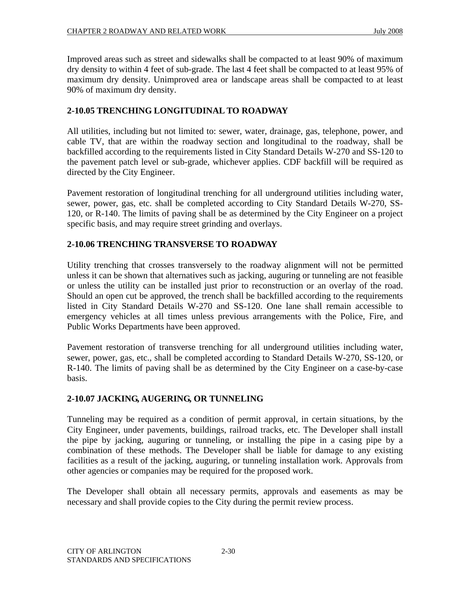Improved areas such as street and sidewalks shall be compacted to at least 90% of maximum dry density to within 4 feet of sub-grade. The last 4 feet shall be compacted to at least 95% of maximum dry density. Unimproved area or landscape areas shall be compacted to at least 90% of maximum dry density.

# **2-10.05 TRENCHING LONGITUDINAL TO ROADWAY**

All utilities, including but not limited to: sewer, water, drainage, gas, telephone, power, and cable TV, that are within the roadway section and longitudinal to the roadway, shall be backfilled according to the requirements listed in City Standard Details W-270 and SS-120 to the pavement patch level or sub-grade, whichever applies. CDF backfill will be required as directed by the City Engineer.

Pavement restoration of longitudinal trenching for all underground utilities including water, sewer, power, gas, etc. shall be completed according to City Standard Details W-270, SS-120, or R-140. The limits of paving shall be as determined by the City Engineer on a project specific basis, and may require street grinding and overlays.

#### **2-10.06 TRENCHING TRANSVERSE TO ROADWAY**

Utility trenching that crosses transversely to the roadway alignment will not be permitted unless it can be shown that alternatives such as jacking, auguring or tunneling are not feasible or unless the utility can be installed just prior to reconstruction or an overlay of the road. Should an open cut be approved, the trench shall be backfilled according to the requirements listed in City Standard Details W-270 and SS-120. One lane shall remain accessible to emergency vehicles at all times unless previous arrangements with the Police, Fire, and Public Works Departments have been approved.

Pavement restoration of transverse trenching for all underground utilities including water, sewer, power, gas, etc., shall be completed according to Standard Details W-270, SS-120, or R-140. The limits of paving shall be as determined by the City Engineer on a case-by-case basis.

#### **2-10.07 JACKING, AUGERING, OR TUNNELING**

Tunneling may be required as a condition of permit approval, in certain situations, by the City Engineer, under pavements, buildings, railroad tracks, etc. The Developer shall install the pipe by jacking, auguring or tunneling, or installing the pipe in a casing pipe by a combination of these methods. The Developer shall be liable for damage to any existing facilities as a result of the jacking, auguring, or tunneling installation work. Approvals from other agencies or companies may be required for the proposed work.

The Developer shall obtain all necessary permits, approvals and easements as may be necessary and shall provide copies to the City during the permit review process.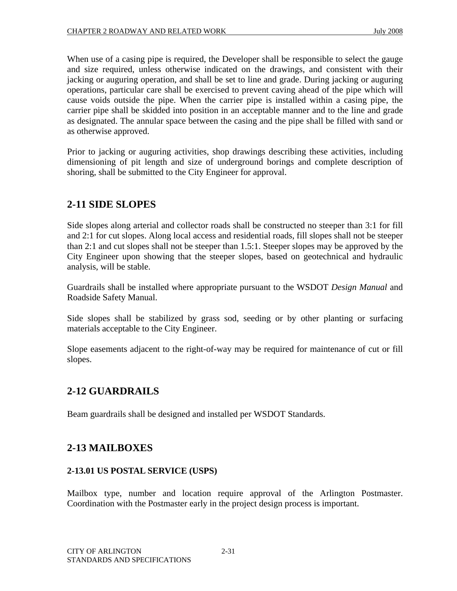When use of a casing pipe is required, the Developer shall be responsible to select the gauge and size required, unless otherwise indicated on the drawings, and consistent with their jacking or auguring operation, and shall be set to line and grade. During jacking or auguring operations, particular care shall be exercised to prevent caving ahead of the pipe which will cause voids outside the pipe. When the carrier pipe is installed within a casing pipe, the carrier pipe shall be skidded into position in an acceptable manner and to the line and grade as designated. The annular space between the casing and the pipe shall be filled with sand or as otherwise approved.

Prior to jacking or auguring activities, shop drawings describing these activities, including dimensioning of pit length and size of underground borings and complete description of shoring, shall be submitted to the City Engineer for approval.

# **2-11 SIDE SLOPES**

Side slopes along arterial and collector roads shall be constructed no steeper than 3:1 for fill and 2:1 for cut slopes. Along local access and residential roads, fill slopes shall not be steeper than 2:1 and cut slopes shall not be steeper than 1.5:1. Steeper slopes may be approved by the City Engineer upon showing that the steeper slopes, based on geotechnical and hydraulic analysis, will be stable.

Guardrails shall be installed where appropriate pursuant to the WSDOT *Design Manual* and Roadside Safety Manual.

Side slopes shall be stabilized by grass sod, seeding or by other planting or surfacing materials acceptable to the City Engineer.

Slope easements adjacent to the right-of-way may be required for maintenance of cut or fill slopes.

# **2-12 GUARDRAILS**

Beam guardrails shall be designed and installed per WSDOT Standards.

# **2-13 MAILBOXES**

#### **2-13.01 US POSTAL SERVICE (USPS)**

Mailbox type, number and location require approval of the Arlington Postmaster. Coordination with the Postmaster early in the project design process is important.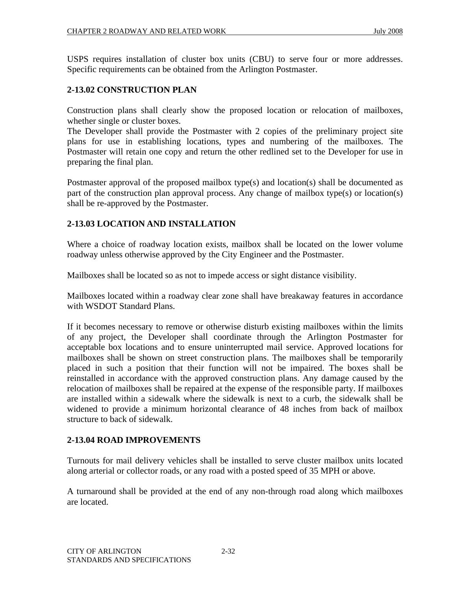USPS requires installation of cluster box units (CBU) to serve four or more addresses. Specific requirements can be obtained from the Arlington Postmaster.

#### **2-13.02 CONSTRUCTION PLAN**

Construction plans shall clearly show the proposed location or relocation of mailboxes, whether single or cluster boxes.

The Developer shall provide the Postmaster with 2 copies of the preliminary project site plans for use in establishing locations, types and numbering of the mailboxes. The Postmaster will retain one copy and return the other redlined set to the Developer for use in preparing the final plan.

Postmaster approval of the proposed mailbox type(s) and location(s) shall be documented as part of the construction plan approval process. Any change of mailbox type(s) or location(s) shall be re-approved by the Postmaster.

#### **2-13.03 LOCATION AND INSTALLATION**

Where a choice of roadway location exists, mailbox shall be located on the lower volume roadway unless otherwise approved by the City Engineer and the Postmaster.

Mailboxes shall be located so as not to impede access or sight distance visibility.

Mailboxes located within a roadway clear zone shall have breakaway features in accordance with WSDOT Standard Plans.

If it becomes necessary to remove or otherwise disturb existing mailboxes within the limits of any project, the Developer shall coordinate through the Arlington Postmaster for acceptable box locations and to ensure uninterrupted mail service. Approved locations for mailboxes shall be shown on street construction plans. The mailboxes shall be temporarily placed in such a position that their function will not be impaired. The boxes shall be reinstalled in accordance with the approved construction plans. Any damage caused by the relocation of mailboxes shall be repaired at the expense of the responsible party. If mailboxes are installed within a sidewalk where the sidewalk is next to a curb, the sidewalk shall be widened to provide a minimum horizontal clearance of 48 inches from back of mailbox structure to back of sidewalk.

#### **2-13.04 ROAD IMPROVEMENTS**

Turnouts for mail delivery vehicles shall be installed to serve cluster mailbox units located along arterial or collector roads, or any road with a posted speed of 35 MPH or above.

A turnaround shall be provided at the end of any non-through road along which mailboxes are located.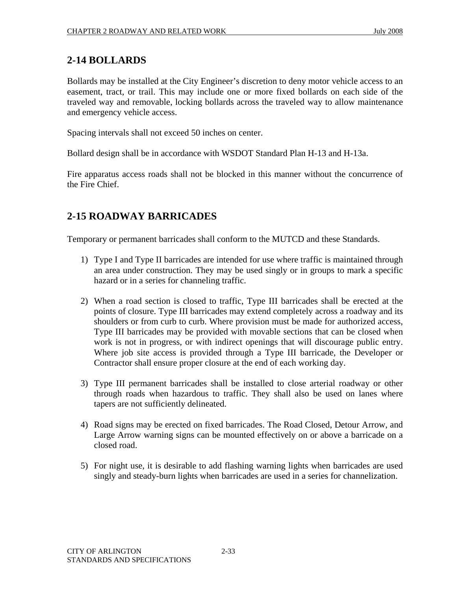# **2-14 BOLLARDS**

Bollards may be installed at the City Engineer's discretion to deny motor vehicle access to an easement, tract, or trail. This may include one or more fixed bollards on each side of the traveled way and removable, locking bollards across the traveled way to allow maintenance and emergency vehicle access.

Spacing intervals shall not exceed 50 inches on center.

Bollard design shall be in accordance with WSDOT Standard Plan H-13 and H-13a.

Fire apparatus access roads shall not be blocked in this manner without the concurrence of the Fire Chief.

# **2-15 ROADWAY BARRICADES**

Temporary or permanent barricades shall conform to the MUTCD and these Standards.

- 1) Type I and Type II barricades are intended for use where traffic is maintained through an area under construction. They may be used singly or in groups to mark a specific hazard or in a series for channeling traffic.
- 2) When a road section is closed to traffic, Type III barricades shall be erected at the points of closure. Type III barricades may extend completely across a roadway and its shoulders or from curb to curb. Where provision must be made for authorized access, Type III barricades may be provided with movable sections that can be closed when work is not in progress, or with indirect openings that will discourage public entry. Where job site access is provided through a Type III barricade, the Developer or Contractor shall ensure proper closure at the end of each working day.
- 3) Type III permanent barricades shall be installed to close arterial roadway or other through roads when hazardous to traffic. They shall also be used on lanes where tapers are not sufficiently delineated.
- 4) Road signs may be erected on fixed barricades. The Road Closed, Detour Arrow, and Large Arrow warning signs can be mounted effectively on or above a barricade on a closed road.
- 5) For night use, it is desirable to add flashing warning lights when barricades are used singly and steady-burn lights when barricades are used in a series for channelization.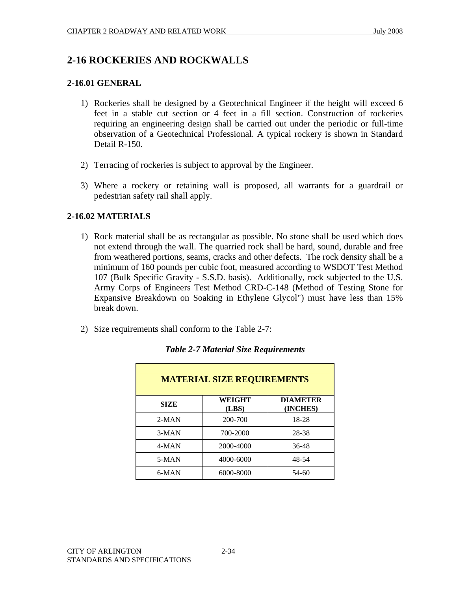# **2-16 ROCKERIES AND ROCKWALLS**

#### **2-16.01 GENERAL**

- 1) Rockeries shall be designed by a Geotechnical Engineer if the height will exceed 6 feet in a stable cut section or 4 feet in a fill section. Construction of rockeries requiring an engineering design shall be carried out under the periodic or full-time observation of a Geotechnical Professional. A typical rockery is shown in Standard Detail R-150.
- 2) Terracing of rockeries is subject to approval by the Engineer.
- 3) Where a rockery or retaining wall is proposed, all warrants for a guardrail or pedestrian safety rail shall apply.

# **2-16.02 MATERIALS**

- 1) Rock material shall be as rectangular as possible. No stone shall be used which does not extend through the wall. The quarried rock shall be hard, sound, durable and free from weathered portions, seams, cracks and other defects. The rock density shall be a minimum of 160 pounds per cubic foot, measured according to WSDOT Test Method 107 (Bulk Specific Gravity - S.S.D. basis). Additionally, rock subjected to the U.S. Army Corps of Engineers Test Method CRD-C-148 (Method of Testing Stone for Expansive Breakdown on Soaking in Ethylene Glycol") must have less than 15% break down.
- 2) Size requirements shall conform to the Table 2-7:

| <b>MATERIAL SIZE REQUIREMENTS</b> |                        |                             |  |
|-----------------------------------|------------------------|-----------------------------|--|
| <b>SIZE</b>                       | <b>WEIGHT</b><br>(LBS) | <b>DIAMETER</b><br>(INCHES) |  |
| $2-MAN$                           | 200-700                | 18-28                       |  |
| $3-MAN$                           | 700-2000               | 28-38                       |  |
| 4-MAN                             | 2000-4000              | 36-48                       |  |
| 5-MAN                             | 4000-6000              | 48-54                       |  |
| 6-MAN                             | 6000-8000              | 54-60                       |  |

# *Table 2-7 Material Size Requirements*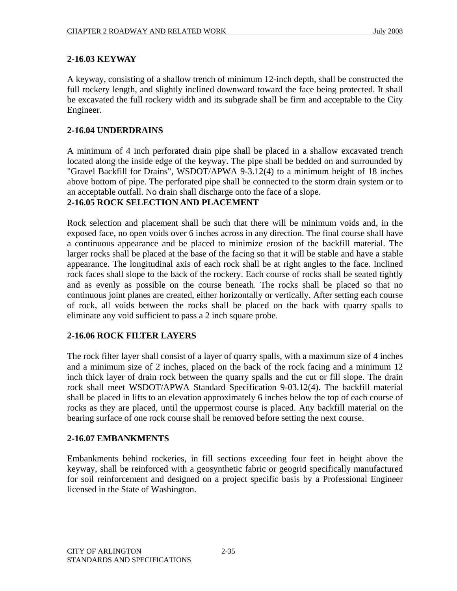#### **2-16.03 KEYWAY**

A keyway, consisting of a shallow trench of minimum 12-inch depth, shall be constructed the full rockery length, and slightly inclined downward toward the face being protected. It shall be excavated the full rockery width and its subgrade shall be firm and acceptable to the City Engineer.

## **2-16.04 UNDERDRAINS**

A minimum of 4 inch perforated drain pipe shall be placed in a shallow excavated trench located along the inside edge of the keyway. The pipe shall be bedded on and surrounded by "Gravel Backfill for Drains", WSDOT/APWA 9-3.12(4) to a minimum height of 18 inches above bottom of pipe. The perforated pipe shall be connected to the storm drain system or to an acceptable outfall. No drain shall discharge onto the face of a slope.

#### **2-16.05 ROCK SELECTION AND PLACEMENT**

Rock selection and placement shall be such that there will be minimum voids and, in the exposed face, no open voids over 6 inches across in any direction. The final course shall have a continuous appearance and be placed to minimize erosion of the backfill material. The larger rocks shall be placed at the base of the facing so that it will be stable and have a stable appearance. The longitudinal axis of each rock shall be at right angles to the face. Inclined rock faces shall slope to the back of the rockery. Each course of rocks shall be seated tightly and as evenly as possible on the course beneath. The rocks shall be placed so that no continuous joint planes are created, either horizontally or vertically. After setting each course of rock, all voids between the rocks shall be placed on the back with quarry spalls to eliminate any void sufficient to pass a 2 inch square probe.

#### **2-16.06 ROCK FILTER LAYERS**

The rock filter layer shall consist of a layer of quarry spalls, with a maximum size of 4 inches and a minimum size of 2 inches, placed on the back of the rock facing and a minimum 12 inch thick layer of drain rock between the quarry spalls and the cut or fill slope. The drain rock shall meet WSDOT/APWA Standard Specification 9-03.12(4). The backfill material shall be placed in lifts to an elevation approximately 6 inches below the top of each course of rocks as they are placed, until the uppermost course is placed. Any backfill material on the bearing surface of one rock course shall be removed before setting the next course.

# **2-16.07 EMBANKMENTS**

Embankments behind rockeries, in fill sections exceeding four feet in height above the keyway, shall be reinforced with a geosynthetic fabric or geogrid specifically manufactured for soil reinforcement and designed on a project specific basis by a Professional Engineer licensed in the State of Washington.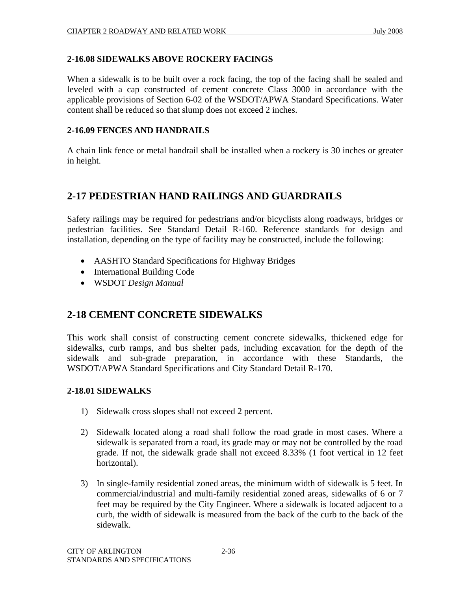## **2-16.08 SIDEWALKS ABOVE ROCKERY FACINGS**

When a sidewalk is to be built over a rock facing, the top of the facing shall be sealed and leveled with a cap constructed of cement concrete Class 3000 in accordance with the applicable provisions of Section 6-02 of the WSDOT/APWA Standard Specifications. Water content shall be reduced so that slump does not exceed 2 inches.

#### **2-16.09 FENCES AND HANDRAILS**

A chain link fence or metal handrail shall be installed when a rockery is 30 inches or greater in height.

# **2-17 PEDESTRIAN HAND RAILINGS AND GUARDRAILS**

Safety railings may be required for pedestrians and/or bicyclists along roadways, bridges or pedestrian facilities. See Standard Detail R-160. Reference standards for design and installation, depending on the type of facility may be constructed, include the following:

- AASHTO Standard Specifications for Highway Bridges
- International Building Code
- WSDOT *Design Manual*

# **2-18 CEMENT CONCRETE SIDEWALKS**

This work shall consist of constructing cement concrete sidewalks, thickened edge for sidewalks, curb ramps, and bus shelter pads, including excavation for the depth of the sidewalk and sub-grade preparation, in accordance with these Standards, the WSDOT/APWA Standard Specifications and City Standard Detail R-170.

#### **2-18.01 SIDEWALKS**

- 1) Sidewalk cross slopes shall not exceed 2 percent.
- 2) Sidewalk located along a road shall follow the road grade in most cases. Where a sidewalk is separated from a road, its grade may or may not be controlled by the road grade. If not, the sidewalk grade shall not exceed 8.33% (1 foot vertical in 12 feet horizontal).
- 3) In single-family residential zoned areas, the minimum width of sidewalk is 5 feet. In commercial/industrial and multi-family residential zoned areas, sidewalks of 6 or 7 feet may be required by the City Engineer. Where a sidewalk is located adjacent to a curb, the width of sidewalk is measured from the back of the curb to the back of the sidewalk.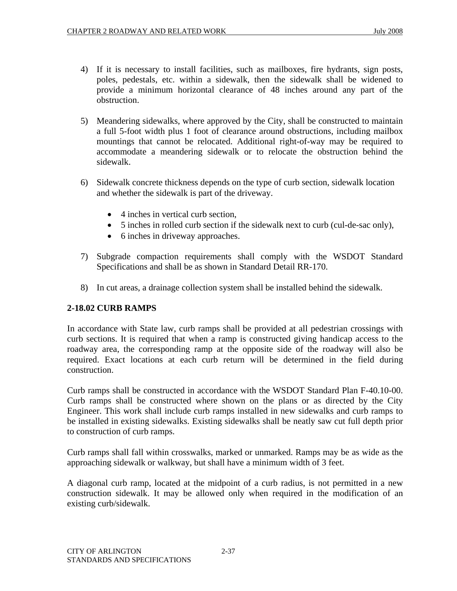- 4) If it is necessary to install facilities, such as mailboxes, fire hydrants, sign posts, poles, pedestals, etc. within a sidewalk, then the sidewalk shall be widened to provide a minimum horizontal clearance of 48 inches around any part of the obstruction.
- 5) Meandering sidewalks, where approved by the City, shall be constructed to maintain a full 5-foot width plus 1 foot of clearance around obstructions, including mailbox mountings that cannot be relocated. Additional right-of-way may be required to accommodate a meandering sidewalk or to relocate the obstruction behind the sidewalk.
- 6) Sidewalk concrete thickness depends on the type of curb section, sidewalk location and whether the sidewalk is part of the driveway.
	- 4 inches in vertical curb section.
	- 5 inches in rolled curb section if the sidewalk next to curb (cul-de-sac only),
	- 6 inches in driveway approaches.
- 7) Subgrade compaction requirements shall comply with the WSDOT Standard Specifications and shall be as shown in Standard Detail RR-170.
- 8) In cut areas, a drainage collection system shall be installed behind the sidewalk.

#### **2-18.02 CURB RAMPS**

In accordance with State law, curb ramps shall be provided at all pedestrian crossings with curb sections. It is required that when a ramp is constructed giving handicap access to the roadway area, the corresponding ramp at the opposite side of the roadway will also be required. Exact locations at each curb return will be determined in the field during construction.

Curb ramps shall be constructed in accordance with the WSDOT Standard Plan F-40.10-00. Curb ramps shall be constructed where shown on the plans or as directed by the City Engineer. This work shall include curb ramps installed in new sidewalks and curb ramps to be installed in existing sidewalks. Existing sidewalks shall be neatly saw cut full depth prior to construction of curb ramps.

Curb ramps shall fall within crosswalks, marked or unmarked. Ramps may be as wide as the approaching sidewalk or walkway, but shall have a minimum width of 3 feet.

A diagonal curb ramp, located at the midpoint of a curb radius, is not permitted in a new construction sidewalk. It may be allowed only when required in the modification of an existing curb/sidewalk.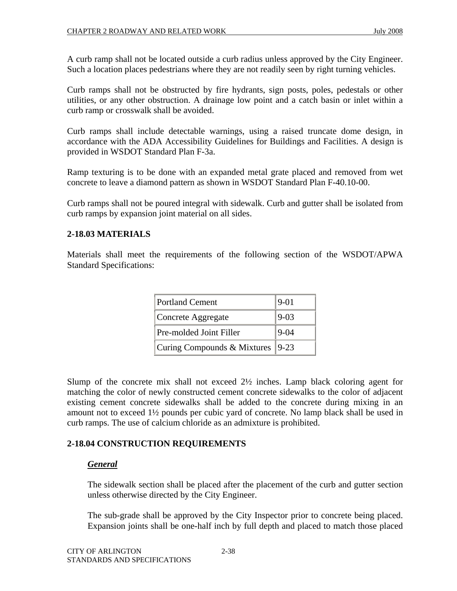A curb ramp shall not be located outside a curb radius unless approved by the City Engineer. Such a location places pedestrians where they are not readily seen by right turning vehicles.

Curb ramps shall not be obstructed by fire hydrants, sign posts, poles, pedestals or other utilities, or any other obstruction. A drainage low point and a catch basin or inlet within a curb ramp or crosswalk shall be avoided.

Curb ramps shall include detectable warnings, using a raised truncate dome design, in accordance with the ADA Accessibility Guidelines for Buildings and Facilities. A design is provided in WSDOT Standard Plan F-3a.

Ramp texturing is to be done with an expanded metal grate placed and removed from wet concrete to leave a diamond pattern as shown in WSDOT Standard Plan F-40.10-00.

Curb ramps shall not be poured integral with sidewalk. Curb and gutter shall be isolated from curb ramps by expansion joint material on all sides.

#### **2-18.03 MATERIALS**

Materials shall meet the requirements of the following section of the WSDOT/APWA Standard Specifications:

| <b>Portland Cement</b>             | $ 9-01$  |
|------------------------------------|----------|
| Concrete Aggregate                 | $9 - 03$ |
| Pre-molded Joint Filler            | $9 - 04$ |
| Curing Compounds & Mixtures   9-23 |          |

Slump of the concrete mix shall not exceed 2½ inches. Lamp black coloring agent for matching the color of newly constructed cement concrete sidewalks to the color of adjacent existing cement concrete sidewalks shall be added to the concrete during mixing in an amount not to exceed 1½ pounds per cubic yard of concrete. No lamp black shall be used in curb ramps. The use of calcium chloride as an admixture is prohibited.

#### **2-18.04 CONSTRUCTION REQUIREMENTS**

#### *General*

The sidewalk section shall be placed after the placement of the curb and gutter section unless otherwise directed by the City Engineer.

The sub-grade shall be approved by the City Inspector prior to concrete being placed. Expansion joints shall be one-half inch by full depth and placed to match those placed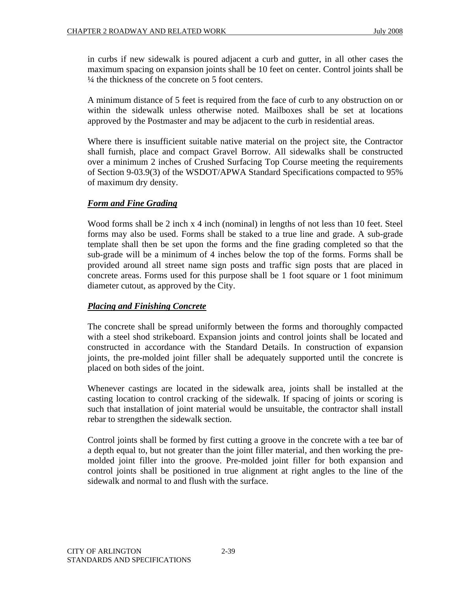in curbs if new sidewalk is poured adjacent a curb and gutter, in all other cases the maximum spacing on expansion joints shall be 10 feet on center. Control joints shall be ¼ the thickness of the concrete on 5 foot centers.

A minimum distance of 5 feet is required from the face of curb to any obstruction on or within the sidewalk unless otherwise noted. Mailboxes shall be set at locations approved by the Postmaster and may be adjacent to the curb in residential areas.

Where there is insufficient suitable native material on the project site, the Contractor shall furnish, place and compact Gravel Borrow. All sidewalks shall be constructed over a minimum 2 inches of Crushed Surfacing Top Course meeting the requirements of Section 9-03.9(3) of the WSDOT/APWA Standard Specifications compacted to 95% of maximum dry density.

# *Form and Fine Grading*

Wood forms shall be 2 inch x 4 inch (nominal) in lengths of not less than 10 feet. Steel forms may also be used. Forms shall be staked to a true line and grade. A sub-grade template shall then be set upon the forms and the fine grading completed so that the sub-grade will be a minimum of 4 inches below the top of the forms. Forms shall be provided around all street name sign posts and traffic sign posts that are placed in concrete areas. Forms used for this purpose shall be 1 foot square or 1 foot minimum diameter cutout, as approved by the City.

# *Placing and Finishing Concrete*

The concrete shall be spread uniformly between the forms and thoroughly compacted with a steel shod strikeboard. Expansion joints and control joints shall be located and constructed in accordance with the Standard Details. In construction of expansion joints, the pre-molded joint filler shall be adequately supported until the concrete is placed on both sides of the joint.

Whenever castings are located in the sidewalk area, joints shall be installed at the casting location to control cracking of the sidewalk. If spacing of joints or scoring is such that installation of joint material would be unsuitable, the contractor shall install rebar to strengthen the sidewalk section.

Control joints shall be formed by first cutting a groove in the concrete with a tee bar of a depth equal to, but not greater than the joint filler material, and then working the premolded joint filler into the groove. Pre-molded joint filler for both expansion and control joints shall be positioned in true alignment at right angles to the line of the sidewalk and normal to and flush with the surface.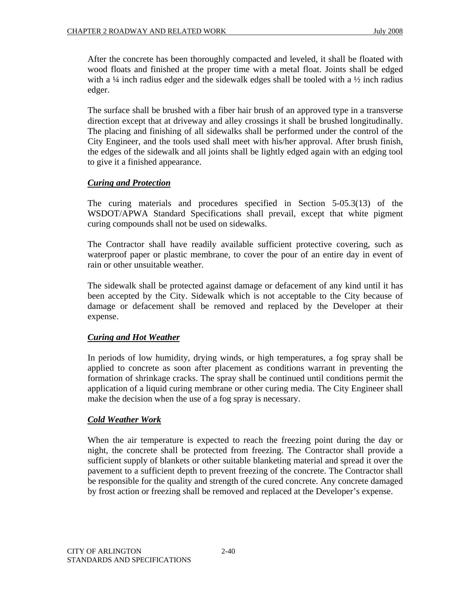After the concrete has been thoroughly compacted and leveled, it shall be floated with wood floats and finished at the proper time with a metal float. Joints shall be edged with a  $\frac{1}{4}$  inch radius edger and the sidewalk edges shall be tooled with a  $\frac{1}{2}$  inch radius edger.

The surface shall be brushed with a fiber hair brush of an approved type in a transverse direction except that at driveway and alley crossings it shall be brushed longitudinally. The placing and finishing of all sidewalks shall be performed under the control of the City Engineer, and the tools used shall meet with his/her approval. After brush finish, the edges of the sidewalk and all joints shall be lightly edged again with an edging tool to give it a finished appearance.

# *Curing and Protection*

The curing materials and procedures specified in Section 5-05.3(13) of the WSDOT/APWA Standard Specifications shall prevail, except that white pigment curing compounds shall not be used on sidewalks.

The Contractor shall have readily available sufficient protective covering, such as waterproof paper or plastic membrane, to cover the pour of an entire day in event of rain or other unsuitable weather.

The sidewalk shall be protected against damage or defacement of any kind until it has been accepted by the City. Sidewalk which is not acceptable to the City because of damage or defacement shall be removed and replaced by the Developer at their expense.

# *Curing and Hot Weather*

In periods of low humidity, drying winds, or high temperatures, a fog spray shall be applied to concrete as soon after placement as conditions warrant in preventing the formation of shrinkage cracks. The spray shall be continued until conditions permit the application of a liquid curing membrane or other curing media. The City Engineer shall make the decision when the use of a fog spray is necessary.

#### *Cold Weather Work*

When the air temperature is expected to reach the freezing point during the day or night, the concrete shall be protected from freezing. The Contractor shall provide a sufficient supply of blankets or other suitable blanketing material and spread it over the pavement to a sufficient depth to prevent freezing of the concrete. The Contractor shall be responsible for the quality and strength of the cured concrete. Any concrete damaged by frost action or freezing shall be removed and replaced at the Developer's expense.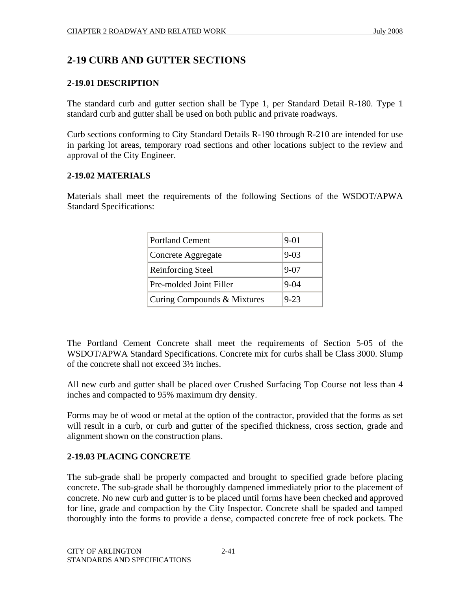# **2-19 CURB AND GUTTER SECTIONS**

#### **2-19.01 DESCRIPTION**

The standard curb and gutter section shall be Type 1, per Standard Detail R-180. Type 1 standard curb and gutter shall be used on both public and private roadways.

Curb sections conforming to City Standard Details R-190 through R-210 are intended for use in parking lot areas, temporary road sections and other locations subject to the review and approval of the City Engineer.

#### **2-19.02 MATERIALS**

Materials shall meet the requirements of the following Sections of the WSDOT/APWA Standard Specifications:

| <b>Portland Cement</b>      | $9 - 01$ |
|-----------------------------|----------|
| Concrete Aggregate          | $9 - 03$ |
| <b>Reinforcing Steel</b>    | $9 - 07$ |
| Pre-molded Joint Filler     | $9 - 04$ |
| Curing Compounds & Mixtures | $9 - 23$ |

The Portland Cement Concrete shall meet the requirements of Section 5-05 of the WSDOT/APWA Standard Specifications. Concrete mix for curbs shall be Class 3000. Slump of the concrete shall not exceed 3½ inches.

All new curb and gutter shall be placed over Crushed Surfacing Top Course not less than 4 inches and compacted to 95% maximum dry density.

Forms may be of wood or metal at the option of the contractor, provided that the forms as set will result in a curb, or curb and gutter of the specified thickness, cross section, grade and alignment shown on the construction plans.

# **2-19.03 PLACING CONCRETE**

The sub-grade shall be properly compacted and brought to specified grade before placing concrete. The sub-grade shall be thoroughly dampened immediately prior to the placement of concrete. No new curb and gutter is to be placed until forms have been checked and approved for line, grade and compaction by the City Inspector. Concrete shall be spaded and tamped thoroughly into the forms to provide a dense, compacted concrete free of rock pockets. The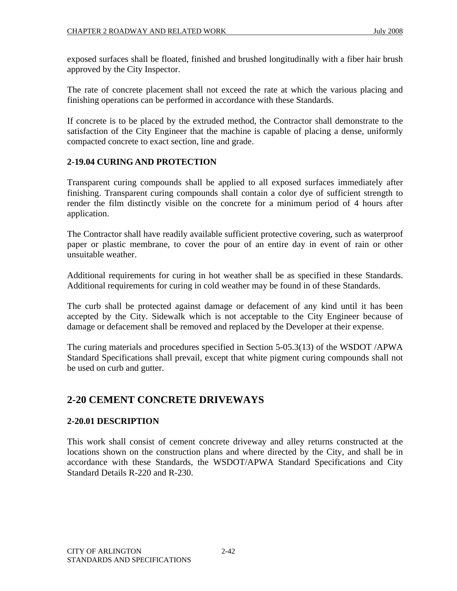exposed surfaces shall be floated, finished and brushed longitudinally with a fiber hair brush approved by the City Inspector.

The rate of concrete placement shall not exceed the rate at which the various placing and finishing operations can be performed in accordance with these Standards.

If concrete is to be placed by the extruded method, the Contractor shall demonstrate to the satisfaction of the City Engineer that the machine is capable of placing a dense, uniformly compacted concrete to exact section, line and grade.

#### **2-19.04 CURING AND PROTECTION**

Transparent curing compounds shall be applied to all exposed surfaces immediately after finishing. Transparent curing compounds shall contain a color dye of sufficient strength to render the film distinctly visible on the concrete for a minimum period of 4 hours after application.

The Contractor shall have readily available sufficient protective covering, such as waterproof paper or plastic membrane, to cover the pour of an entire day in event of rain or other unsuitable weather.

Additional requirements for curing in hot weather shall be as specified in these Standards. Additional requirements for curing in cold weather may be found in of these Standards.

The curb shall be protected against damage or defacement of any kind until it has been accepted by the City. Sidewalk which is not acceptable to the City Engineer because of damage or defacement shall be removed and replaced by the Developer at their expense.

The curing materials and procedures specified in Section 5-05.3(13) of the WSDOT /APWA Standard Specifications shall prevail, except that white pigment curing compounds shall not be used on curb and gutter.

# **2-20 CEMENT CONCRETE DRIVEWAYS**

#### **2-20.01 DESCRIPTION**

This work shall consist of cement concrete driveway and alley returns constructed at the locations shown on the construction plans and where directed by the City, and shall be in accordance with these Standards, the WSDOT/APWA Standard Specifications and City Standard Details R-220 and R-230.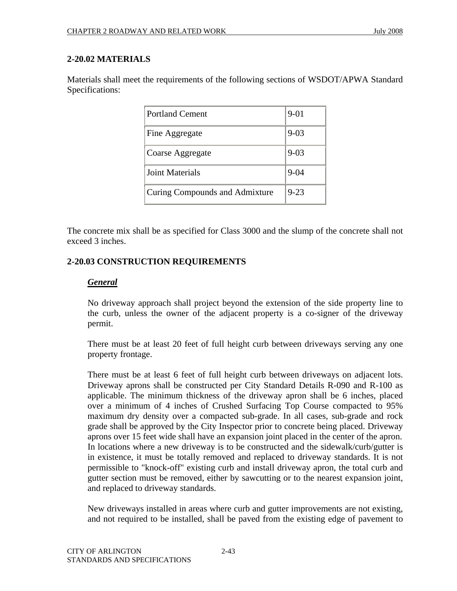#### **2-20.02 MATERIALS**

Materials shall meet the requirements of the following sections of WSDOT/APWA Standard Specifications:

| <b>Portland Cement</b>         | $9 - 01$ |
|--------------------------------|----------|
| Fine Aggregate                 | $9 - 03$ |
| Coarse Aggregate               | $9 - 03$ |
| Joint Materials                | $9 - 04$ |
| Curing Compounds and Admixture | $9 - 23$ |

The concrete mix shall be as specified for Class 3000 and the slump of the concrete shall not exceed 3 inches.

#### **2-20.03 CONSTRUCTION REQUIREMENTS**

#### *General*

No driveway approach shall project beyond the extension of the side property line to the curb, unless the owner of the adjacent property is a co-signer of the driveway permit.

There must be at least 20 feet of full height curb between driveways serving any one property frontage.

There must be at least 6 feet of full height curb between driveways on adjacent lots. Driveway aprons shall be constructed per City Standard Details R-090 and R-100 as applicable. The minimum thickness of the driveway apron shall be 6 inches, placed over a minimum of 4 inches of Crushed Surfacing Top Course compacted to 95% maximum dry density over a compacted sub-grade. In all cases, sub-grade and rock grade shall be approved by the City Inspector prior to concrete being placed. Driveway aprons over 15 feet wide shall have an expansion joint placed in the center of the apron. In locations where a new driveway is to be constructed and the sidewalk/curb/gutter is in existence, it must be totally removed and replaced to driveway standards. It is not permissible to "knock-off" existing curb and install driveway apron, the total curb and gutter section must be removed, either by sawcutting or to the nearest expansion joint, and replaced to driveway standards.

New driveways installed in areas where curb and gutter improvements are not existing, and not required to be installed, shall be paved from the existing edge of pavement to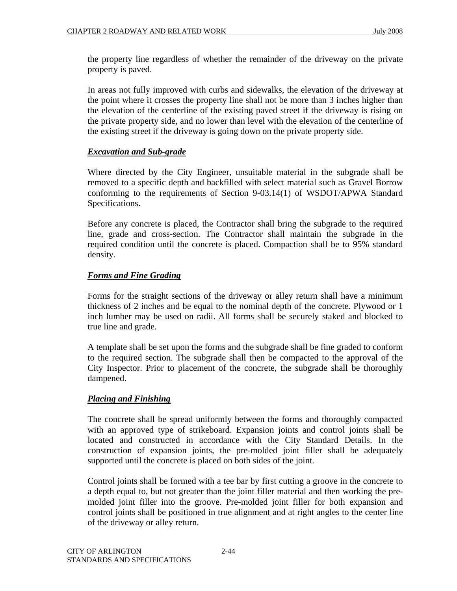the property line regardless of whether the remainder of the driveway on the private property is paved.

In areas not fully improved with curbs and sidewalks, the elevation of the driveway at the point where it crosses the property line shall not be more than 3 inches higher than the elevation of the centerline of the existing paved street if the driveway is rising on the private property side, and no lower than level with the elevation of the centerline of the existing street if the driveway is going down on the private property side.

# *Excavation and Sub-grade*

Where directed by the City Engineer, unsuitable material in the subgrade shall be removed to a specific depth and backfilled with select material such as Gravel Borrow conforming to the requirements of Section 9-03.14(1) of WSDOT/APWA Standard Specifications.

Before any concrete is placed, the Contractor shall bring the subgrade to the required line, grade and cross-section. The Contractor shall maintain the subgrade in the required condition until the concrete is placed. Compaction shall be to 95% standard density.

# *Forms and Fine Grading*

Forms for the straight sections of the driveway or alley return shall have a minimum thickness of 2 inches and be equal to the nominal depth of the concrete. Plywood or 1 inch lumber may be used on radii. All forms shall be securely staked and blocked to true line and grade.

A template shall be set upon the forms and the subgrade shall be fine graded to conform to the required section. The subgrade shall then be compacted to the approval of the City Inspector. Prior to placement of the concrete, the subgrade shall be thoroughly dampened.

# *Placing and Finishing*

The concrete shall be spread uniformly between the forms and thoroughly compacted with an approved type of strikeboard. Expansion joints and control joints shall be located and constructed in accordance with the City Standard Details. In the construction of expansion joints, the pre-molded joint filler shall be adequately supported until the concrete is placed on both sides of the joint.

Control joints shall be formed with a tee bar by first cutting a groove in the concrete to a depth equal to, but not greater than the joint filler material and then working the premolded joint filler into the groove. Pre-molded joint filler for both expansion and control joints shall be positioned in true alignment and at right angles to the center line of the driveway or alley return.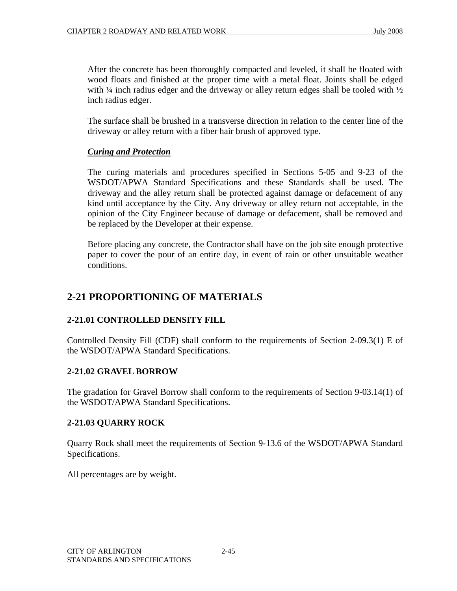After the concrete has been thoroughly compacted and leveled, it shall be floated with wood floats and finished at the proper time with a metal float. Joints shall be edged with  $\frac{1}{4}$  inch radius edger and the driveway or alley return edges shall be tooled with  $\frac{1}{2}$ inch radius edger.

The surface shall be brushed in a transverse direction in relation to the center line of the driveway or alley return with a fiber hair brush of approved type.

# *Curing and Protection*

The curing materials and procedures specified in Sections 5-05 and 9-23 of the WSDOT/APWA Standard Specifications and these Standards shall be used. The driveway and the alley return shall be protected against damage or defacement of any kind until acceptance by the City. Any driveway or alley return not acceptable, in the opinion of the City Engineer because of damage or defacement, shall be removed and be replaced by the Developer at their expense.

Before placing any concrete, the Contractor shall have on the job site enough protective paper to cover the pour of an entire day, in event of rain or other unsuitable weather conditions.

# **2-21 PROPORTIONING OF MATERIALS**

# **2-21.01 CONTROLLED DENSITY FILL**

Controlled Density Fill (CDF) shall conform to the requirements of Section 2-09.3(1) E of the WSDOT/APWA Standard Specifications.

#### **2-21.02 GRAVEL BORROW**

The gradation for Gravel Borrow shall conform to the requirements of Section 9-03.14(1) of the WSDOT/APWA Standard Specifications.

#### **2-21.03 QUARRY ROCK**

Quarry Rock shall meet the requirements of Section 9-13.6 of the WSDOT/APWA Standard Specifications.

All percentages are by weight.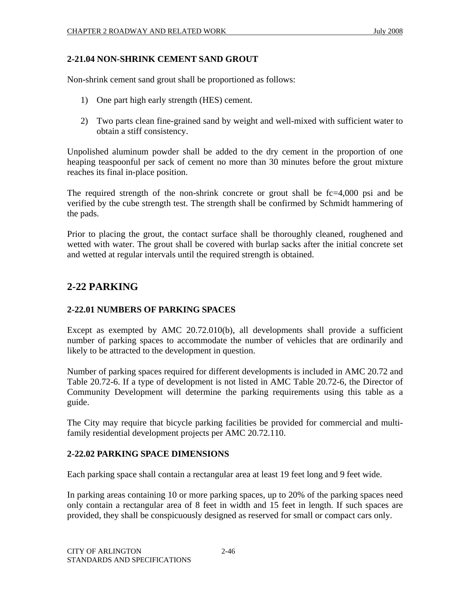#### **2-21.04 NON-SHRINK CEMENT SAND GROUT**

Non-shrink cement sand grout shall be proportioned as follows:

- 1) One part high early strength (HES) cement.
- 2) Two parts clean fine-grained sand by weight and well-mixed with sufficient water to obtain a stiff consistency.

Unpolished aluminum powder shall be added to the dry cement in the proportion of one heaping teaspoonful per sack of cement no more than 30 minutes before the grout mixture reaches its final in-place position.

The required strength of the non-shrink concrete or grout shall be fc=4,000 psi and be verified by the cube strength test. The strength shall be confirmed by Schmidt hammering of the pads.

Prior to placing the grout, the contact surface shall be thoroughly cleaned, roughened and wetted with water. The grout shall be covered with burlap sacks after the initial concrete set and wetted at regular intervals until the required strength is obtained.

# **2-22 PARKING**

# **2-22.01 NUMBERS OF PARKING SPACES**

Except as exempted by AMC 20.72.010(b), all developments shall provide a sufficient number of parking spaces to accommodate the number of vehicles that are ordinarily and likely to be attracted to the development in question.

Number of parking spaces required for different developments is included in AMC 20.72 and Table 20.72-6. If a type of development is not listed in AMC Table 20.72-6, the Director of Community Development will determine the parking requirements using this table as a guide.

The City may require that bicycle parking facilities be provided for commercial and multifamily residential development projects per AMC 20.72.110.

# **2-22.02 PARKING SPACE DIMENSIONS**

Each parking space shall contain a rectangular area at least 19 feet long and 9 feet wide.

In parking areas containing 10 or more parking spaces, up to 20% of the parking spaces need only contain a rectangular area of 8 feet in width and 15 feet in length. If such spaces are provided, they shall be conspicuously designed as reserved for small or compact cars only.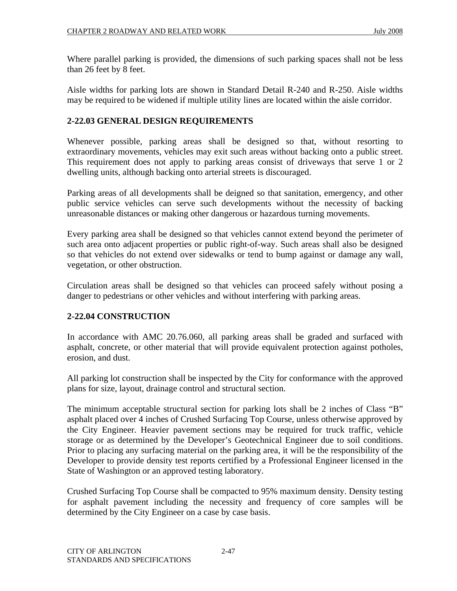Where parallel parking is provided, the dimensions of such parking spaces shall not be less than 26 feet by 8 feet.

Aisle widths for parking lots are shown in Standard Detail R-240 and R-250. Aisle widths may be required to be widened if multiple utility lines are located within the aisle corridor.

#### **2-22.03 GENERAL DESIGN REQUIREMENTS**

Whenever possible, parking areas shall be designed so that, without resorting to extraordinary movements, vehicles may exit such areas without backing onto a public street. This requirement does not apply to parking areas consist of driveways that serve 1 or 2 dwelling units, although backing onto arterial streets is discouraged.

Parking areas of all developments shall be deigned so that sanitation, emergency, and other public service vehicles can serve such developments without the necessity of backing unreasonable distances or making other dangerous or hazardous turning movements.

Every parking area shall be designed so that vehicles cannot extend beyond the perimeter of such area onto adjacent properties or public right-of-way. Such areas shall also be designed so that vehicles do not extend over sidewalks or tend to bump against or damage any wall, vegetation, or other obstruction.

Circulation areas shall be designed so that vehicles can proceed safely without posing a danger to pedestrians or other vehicles and without interfering with parking areas.

#### **2-22.04 CONSTRUCTION**

In accordance with AMC 20.76.060, all parking areas shall be graded and surfaced with asphalt, concrete, or other material that will provide equivalent protection against potholes, erosion, and dust.

All parking lot construction shall be inspected by the City for conformance with the approved plans for size, layout, drainage control and structural section.

The minimum acceptable structural section for parking lots shall be 2 inches of Class "B" asphalt placed over 4 inches of Crushed Surfacing Top Course, unless otherwise approved by the City Engineer. Heavier pavement sections may be required for truck traffic, vehicle storage or as determined by the Developer's Geotechnical Engineer due to soil conditions. Prior to placing any surfacing material on the parking area, it will be the responsibility of the Developer to provide density test reports certified by a Professional Engineer licensed in the State of Washington or an approved testing laboratory.

Crushed Surfacing Top Course shall be compacted to 95% maximum density. Density testing for asphalt pavement including the necessity and frequency of core samples will be determined by the City Engineer on a case by case basis.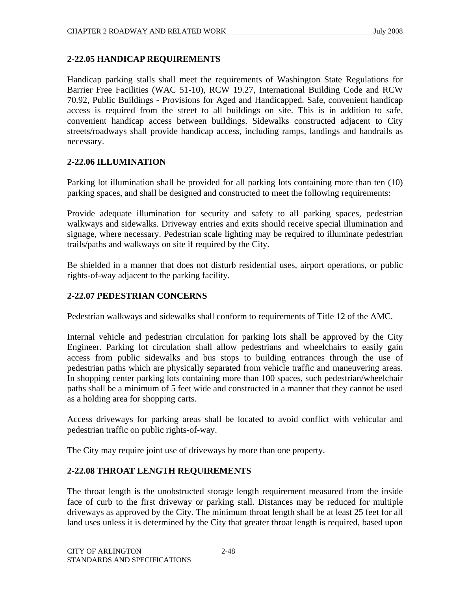#### **2-22.05 HANDICAP REQUIREMENTS**

Handicap parking stalls shall meet the requirements of Washington State Regulations for Barrier Free Facilities (WAC 51-10), RCW 19.27, International Building Code and RCW 70.92, Public Buildings - Provisions for Aged and Handicapped. Safe, convenient handicap access is required from the street to all buildings on site. This is in addition to safe, convenient handicap access between buildings. Sidewalks constructed adjacent to City streets/roadways shall provide handicap access, including ramps, landings and handrails as necessary.

#### **2-22.06 ILLUMINATION**

Parking lot illumination shall be provided for all parking lots containing more than ten (10) parking spaces, and shall be designed and constructed to meet the following requirements:

Provide adequate illumination for security and safety to all parking spaces, pedestrian walkways and sidewalks. Driveway entries and exits should receive special illumination and signage, where necessary. Pedestrian scale lighting may be required to illuminate pedestrian trails/paths and walkways on site if required by the City.

Be shielded in a manner that does not disturb residential uses, airport operations, or public rights-of-way adjacent to the parking facility.

## **2-22.07 PEDESTRIAN CONCERNS**

Pedestrian walkways and sidewalks shall conform to requirements of Title 12 of the AMC.

Internal vehicle and pedestrian circulation for parking lots shall be approved by the City Engineer. Parking lot circulation shall allow pedestrians and wheelchairs to easily gain access from public sidewalks and bus stops to building entrances through the use of pedestrian paths which are physically separated from vehicle traffic and maneuvering areas. In shopping center parking lots containing more than 100 spaces, such pedestrian/wheelchair paths shall be a minimum of 5 feet wide and constructed in a manner that they cannot be used as a holding area for shopping carts.

Access driveways for parking areas shall be located to avoid conflict with vehicular and pedestrian traffic on public rights-of-way.

The City may require joint use of driveways by more than one property.

#### **2-22.08 THROAT LENGTH REQUIREMENTS**

The throat length is the unobstructed storage length requirement measured from the inside face of curb to the first driveway or parking stall. Distances may be reduced for multiple driveways as approved by the City. The minimum throat length shall be at least 25 feet for all land uses unless it is determined by the City that greater throat length is required, based upon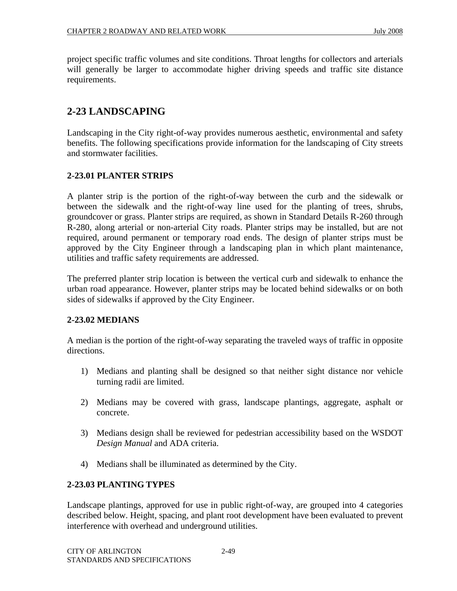project specific traffic volumes and site conditions. Throat lengths for collectors and arterials will generally be larger to accommodate higher driving speeds and traffic site distance requirements.

# **2-23 LANDSCAPING**

Landscaping in the City right-of-way provides numerous aesthetic, environmental and safety benefits. The following specifications provide information for the landscaping of City streets and stormwater facilities.

#### **2-23.01 PLANTER STRIPS**

A planter strip is the portion of the right-of-way between the curb and the sidewalk or between the sidewalk and the right-of-way line used for the planting of trees, shrubs, groundcover or grass. Planter strips are required, as shown in Standard Details R-260 through R-280, along arterial or non-arterial City roads. Planter strips may be installed, but are not required, around permanent or temporary road ends. The design of planter strips must be approved by the City Engineer through a landscaping plan in which plant maintenance, utilities and traffic safety requirements are addressed.

The preferred planter strip location is between the vertical curb and sidewalk to enhance the urban road appearance. However, planter strips may be located behind sidewalks or on both sides of sidewalks if approved by the City Engineer.

# **2-23.02 MEDIANS**

A median is the portion of the right-of-way separating the traveled ways of traffic in opposite directions.

- 1) Medians and planting shall be designed so that neither sight distance nor vehicle turning radii are limited.
- 2) Medians may be covered with grass, landscape plantings, aggregate, asphalt or concrete.
- 3) Medians design shall be reviewed for pedestrian accessibility based on the WSDOT *Design Manual* and ADA criteria.
- 4) Medians shall be illuminated as determined by the City.

# **2-23.03 PLANTING TYPES**

Landscape plantings, approved for use in public right-of-way, are grouped into 4 categories described below. Height, spacing, and plant root development have been evaluated to prevent interference with overhead and underground utilities.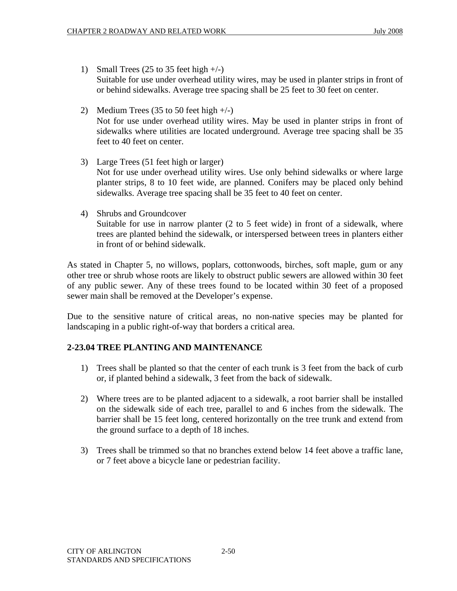- 1) Small Trees  $(25 \text{ to } 35 \text{ feet high} +/-)$ Suitable for use under overhead utility wires, may be used in planter strips in front of or behind sidewalks. Average tree spacing shall be 25 feet to 30 feet on center.
- 2) Medium Trees (35 to 50 feet high  $+/-$ ) Not for use under overhead utility wires. May be used in planter strips in front of sidewalks where utilities are located underground. Average tree spacing shall be 35 feet to 40 feet on center.
- 3) Large Trees (51 feet high or larger) Not for use under overhead utility wires. Use only behind sidewalks or where large planter strips, 8 to 10 feet wide, are planned. Conifers may be placed only behind sidewalks. Average tree spacing shall be 35 feet to 40 feet on center.
- 4) Shrubs and Groundcover

Suitable for use in narrow planter (2 to 5 feet wide) in front of a sidewalk, where trees are planted behind the sidewalk, or interspersed between trees in planters either in front of or behind sidewalk.

As stated in Chapter 5, no willows, poplars, cottonwoods, birches, soft maple, gum or any other tree or shrub whose roots are likely to obstruct public sewers are allowed within 30 feet of any public sewer. Any of these trees found to be located within 30 feet of a proposed sewer main shall be removed at the Developer's expense.

Due to the sensitive nature of critical areas, no non-native species may be planted for landscaping in a public right-of-way that borders a critical area.

# **2-23.04 TREE PLANTING AND MAINTENANCE**

- 1) Trees shall be planted so that the center of each trunk is 3 feet from the back of curb or, if planted behind a sidewalk, 3 feet from the back of sidewalk.
- 2) Where trees are to be planted adjacent to a sidewalk, a root barrier shall be installed on the sidewalk side of each tree, parallel to and 6 inches from the sidewalk. The barrier shall be 15 feet long, centered horizontally on the tree trunk and extend from the ground surface to a depth of 18 inches.
- 3) Trees shall be trimmed so that no branches extend below 14 feet above a traffic lane, or 7 feet above a bicycle lane or pedestrian facility.